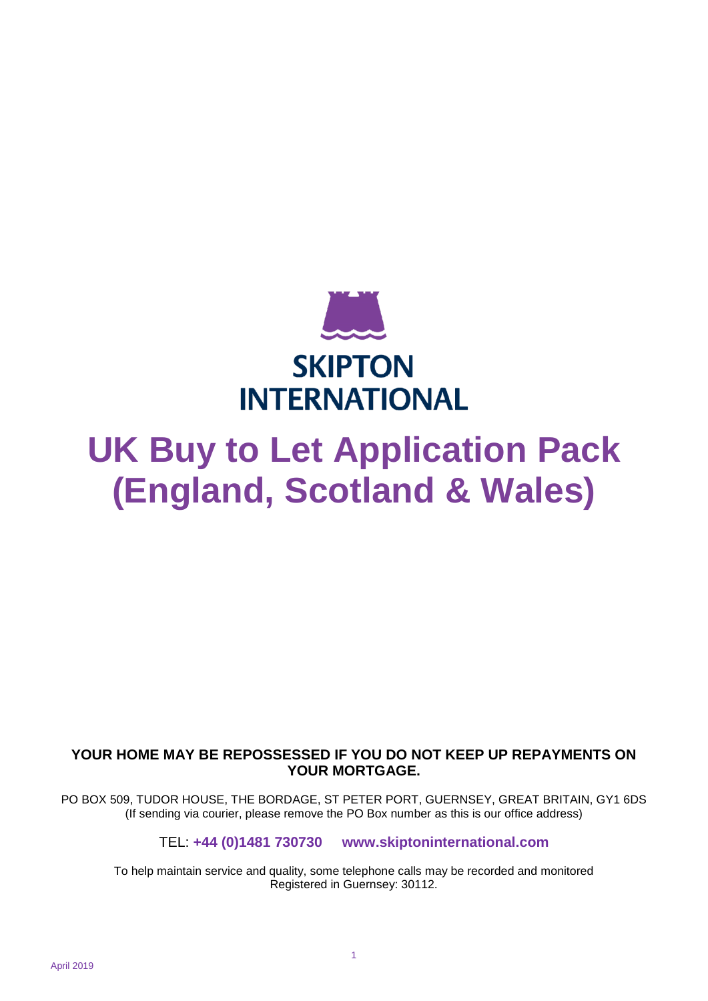

# **UK Buy to Let Application Pack (England, Scotland & Wales)**

### **YOUR HOME MAY BE REPOSSESSED IF YOU DO NOT KEEP UP REPAYMENTS ON YOUR MORTGAGE.**

PO BOX 509, TUDOR HOUSE, THE BORDAGE, ST PETER PORT, GUERNSEY, GREAT BRITAIN, GY1 6DS (If sending via courier, please remove the PO Box number as this is our office address)

TEL: **+44 (0)1481 730730 www.skiptoninternational.com**

To help maintain service and quality, some telephone calls may be recorded and monitored Registered in Guernsey: 30112.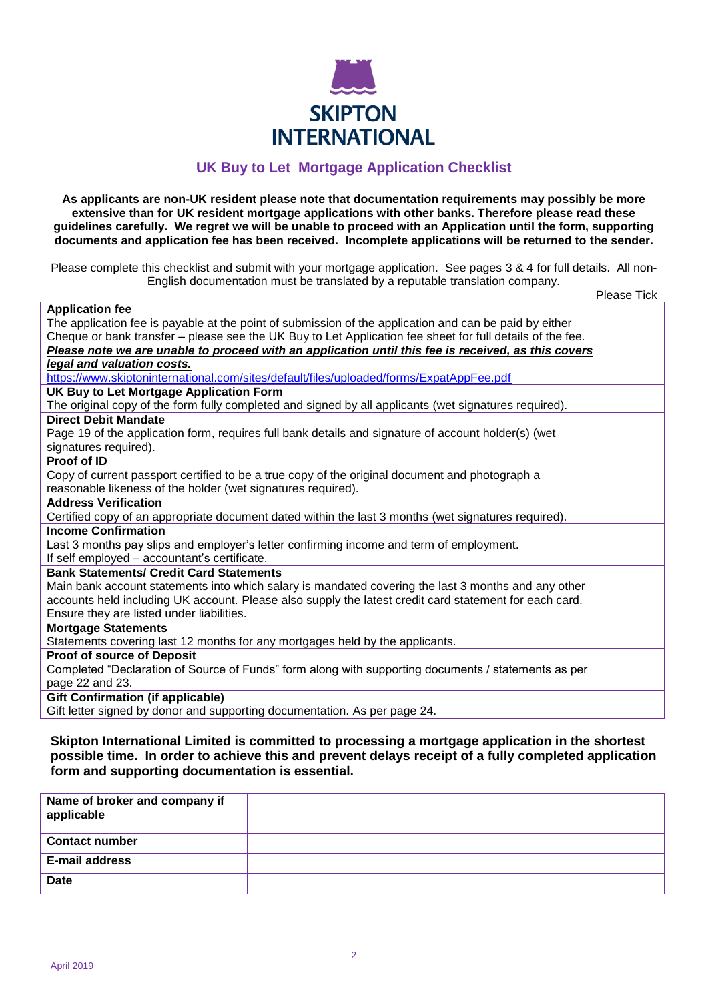

#### **UK Buy to Let Mortgage Application Checklist**

**As applicants are non-UK resident please note that documentation requirements may possibly be more extensive than for UK resident mortgage applications with other banks. Therefore please read these guidelines carefully. We regret we will be unable to proceed with an Application until the form, supporting documents and application fee has been received. Incomplete applications will be returned to the sender.**

Please complete this checklist and submit with your mortgage application. See pages 3 & 4 for full details. All non-English documentation must be translated by a reputable translation company. Please Tick

| <b>Application fee</b>                                                                                    |  |
|-----------------------------------------------------------------------------------------------------------|--|
| The application fee is payable at the point of submission of the application and can be paid by either    |  |
| Cheque or bank transfer – please see the UK Buy to Let Application fee sheet for full details of the fee. |  |
| Please note we are unable to proceed with an application until this fee is received, as this covers       |  |
| legal and valuation costs.                                                                                |  |
| https://www.skiptoninternational.com/sites/default/files/uploaded/forms/ExpatAppFee.pdf                   |  |
| UK Buy to Let Mortgage Application Form                                                                   |  |
| The original copy of the form fully completed and signed by all applicants (wet signatures required).     |  |
| <b>Direct Debit Mandate</b>                                                                               |  |
| Page 19 of the application form, requires full bank details and signature of account holder(s) (wet       |  |
| signatures required).                                                                                     |  |
| Proof of ID                                                                                               |  |
| Copy of current passport certified to be a true copy of the original document and photograph a            |  |
| reasonable likeness of the holder (wet signatures required).                                              |  |
| <b>Address Verification</b>                                                                               |  |
| Certified copy of an appropriate document dated within the last 3 months (wet signatures required).       |  |
| <b>Income Confirmation</b>                                                                                |  |
| Last 3 months pay slips and employer's letter confirming income and term of employment.                   |  |
| If self employed - accountant's certificate.                                                              |  |
| <b>Bank Statements/ Credit Card Statements</b>                                                            |  |
| Main bank account statements into which salary is mandated covering the last 3 months and any other       |  |
| accounts held including UK account. Please also supply the latest credit card statement for each card.    |  |
| Ensure they are listed under liabilities.                                                                 |  |
| <b>Mortgage Statements</b>                                                                                |  |
| Statements covering last 12 months for any mortgages held by the applicants.                              |  |
| <b>Proof of source of Deposit</b>                                                                         |  |
| Completed "Declaration of Source of Funds" form along with supporting documents / statements as per       |  |
| page 22 and 23.                                                                                           |  |
| <b>Gift Confirmation (if applicable)</b>                                                                  |  |
| Gift letter signed by donor and supporting documentation. As per page 24.                                 |  |

**Skipton International Limited is committed to processing a mortgage application in the shortest possible time. In order to achieve this and prevent delays receipt of a fully completed application form and supporting documentation is essential.**

| Name of broker and company if<br>applicable |  |
|---------------------------------------------|--|
| <b>Contact number</b>                       |  |
| <b>E-mail address</b>                       |  |
| <b>Date</b>                                 |  |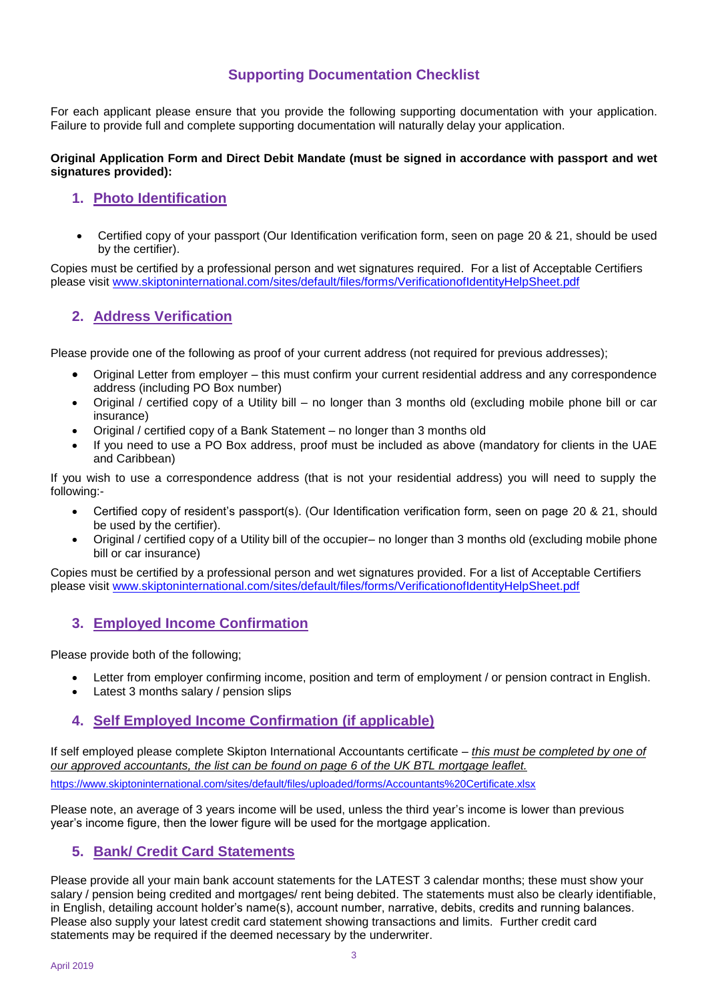### **Supporting Documentation Checklist**

For each applicant please ensure that you provide the following supporting documentation with your application. Failure to provide full and complete supporting documentation will naturally delay your application.

#### **Original Application Form and Direct Debit Mandate (must be signed in accordance with passport and wet signatures provided):**

#### **1. Photo Identification**

 Certified copy of your passport (Our Identification verification form, seen on page 20 & 21, should be used by the certifier).

Copies must be certified by a professional person and wet signatures required. For a list of Acceptable Certifiers please visit [www.skiptoninternational.com/sites/default/files/forms/VerificationofIdentityHelpSheet.pdf](http://www.skiptoninternational.com/sites/default/files/forms/VerificationofIdentityHelpSheet.pdf)

#### **2. Address Verification**

Please provide one of the following as proof of your current address (not required for previous addresses);

- Original Letter from employer this must confirm your current residential address and any correspondence address (including PO Box number)
- Original / certified copy of a Utility bill no longer than 3 months old (excluding mobile phone bill or car insurance)
- Original / certified copy of a Bank Statement no longer than 3 months old
- If you need to use a PO Box address, proof must be included as above (mandatory for clients in the UAE and Caribbean)

If you wish to use a correspondence address (that is not your residential address) you will need to supply the following:-

- Certified copy of resident's passport(s). (Our Identification verification form, seen on page 20 & 21, should be used by the certifier).
- Original / certified copy of a Utility bill of the occupier– no longer than 3 months old (excluding mobile phone bill or car insurance)

Copies must be certified by a professional person and wet signatures provided. For a list of Acceptable Certifiers please visit [www.skiptoninternational.com/sites/default/files/forms/VerificationofIdentityHelpSheet.pdf](http://www.skiptoninternational.com/sites/default/files/forms/VerificationofIdentityHelpSheet.pdf)

#### **3. Employed Income Confirmation**

Please provide both of the following;

- Letter from employer confirming income, position and term of employment / or pension contract in English.
- Latest 3 months salary / pension slips

#### **4. Self Employed Income Confirmation (if applicable)**

If self employed please complete Skipton International Accountants certificate – *this must be completed by one of our approved accountants, the list can be found on page 6 of the UK BTL mortgage leaflet.*

<https://www.skiptoninternational.com/sites/default/files/uploaded/forms/Accountants%20Certificate.xlsx>

Please note, an average of 3 years income will be used, unless the third year's income is lower than previous year's income figure, then the lower figure will be used for the mortgage application.

#### **5. Bank/ Credit Card Statements**

Please provide all your main bank account statements for the LATEST 3 calendar months; these must show your salary / pension being credited and mortgages/ rent being debited. The statements must also be clearly identifiable, in English, detailing account holder's name(s), account number, narrative, debits, credits and running balances. Please also supply your latest credit card statement showing transactions and limits. Further credit card statements may be required if the deemed necessary by the underwriter.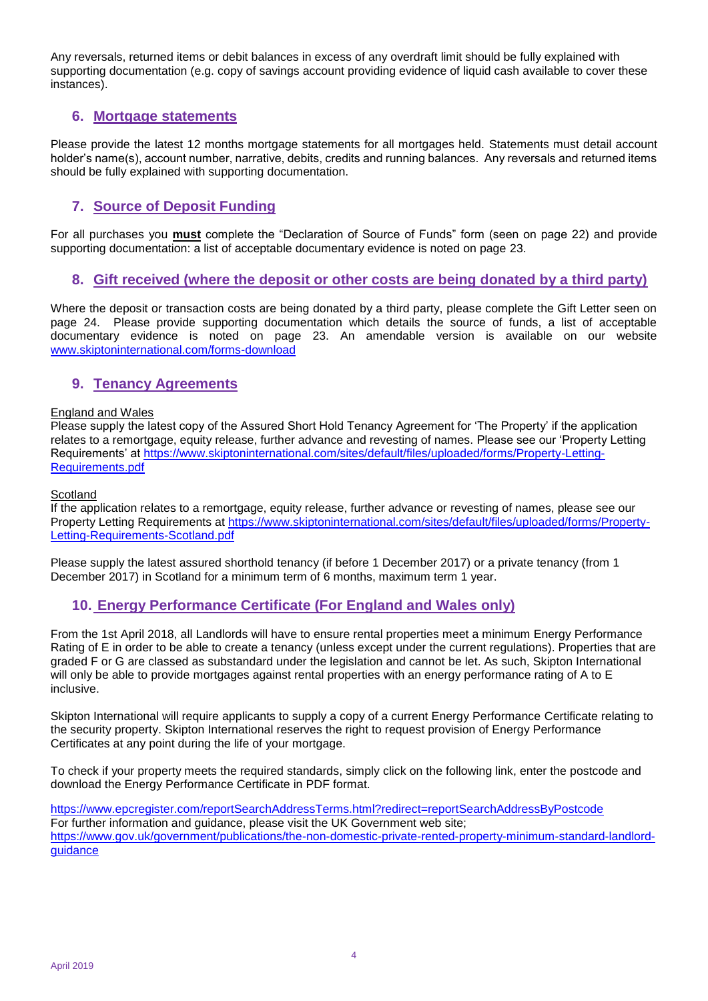Any reversals, returned items or debit balances in excess of any overdraft limit should be fully explained with supporting documentation (e.g. copy of savings account providing evidence of liquid cash available to cover these instances).

#### **6. Mortgage statements**

Please provide the latest 12 months mortgage statements for all mortgages held. Statements must detail account holder's name(s), account number, narrative, debits, credits and running balances. Any reversals and returned items should be fully explained with supporting documentation.

### **7. Source of Deposit Funding**

For all purchases you **must** complete the "Declaration of Source of Funds" form (seen on page 22) and provide supporting documentation: a list of acceptable documentary evidence is noted on page 23.

#### **8. Gift received (where the deposit or other costs are being donated by a third party)**

Where the deposit or transaction costs are being donated by a third party, please complete the Gift Letter seen on page 24. Please provide supporting documentation which details the source of funds, a list of acceptable documentary evidence is noted on page 23. An amendable version is available on our website [www.skiptoninternational.com/forms-download](http://www.skiptoninternational.com/forms-download)

#### **9. Tenancy Agreements**

#### England and Wales

Please supply the latest copy of the Assured Short Hold Tenancy Agreement for 'The Property' if the application relates to a remortgage, equity release, further advance and revesting of names. Please see our 'Property Letting Requirements' at [https://www.skiptoninternational.com/sites/default/files/uploaded/forms/Property-Letting-](https://www.skiptoninternational.com/sites/default/files/uploaded/forms/Property-Letting-Requirements.pdf)[Requirements.pdf](https://www.skiptoninternational.com/sites/default/files/uploaded/forms/Property-Letting-Requirements.pdf)

#### **Scotland**

If the application relates to a remortgage, equity release, further advance or revesting of names, please see our Property Letting Requirements at [https://www.skiptoninternational.com/sites/default/files/uploaded/forms/Property-](https://www.skiptoninternational.com/sites/default/files/uploaded/forms/Property-Letting-Requirements-Scotland.pdf)[Letting-Requirements-Scotland.pdf](https://www.skiptoninternational.com/sites/default/files/uploaded/forms/Property-Letting-Requirements-Scotland.pdf)

Please supply the latest assured shorthold tenancy (if before 1 December 2017) or a private tenancy (from 1 December 2017) in Scotland for a minimum term of 6 months, maximum term 1 year.

#### **10. Energy Performance Certificate (For England and Wales only)**

From the 1st April 2018, all Landlords will have to ensure rental properties meet a minimum Energy Performance Rating of E in order to be able to create a tenancy (unless except under the current regulations). Properties that are graded F or G are classed as substandard under the legislation and cannot be let. As such, Skipton International will only be able to provide mortgages against rental properties with an energy performance rating of A to E inclusive.

Skipton International will require applicants to supply a copy of a current Energy Performance Certificate relating to the security property. Skipton International reserves the right to request provision of Energy Performance Certificates at any point during the life of your mortgage.

To check if your property meets the required standards, simply click on the following link, enter the postcode and download the Energy Performance Certificate in PDF format.

[https://www.epcregister.com/reportSearchAddressTerms.html?redirect=reportSearchAddressByPostcode](https://protect.mimecast-offshore.com/s/DOX9C0V707UG0q8SOOjcx) For further information and guidance, please visit the UK Government web site; [https://www.gov.uk/government/publications/the-non-domestic-private-rented-property-minimum-standard-landlord](https://www.gov.uk/government/publications/the-non-domestic-private-rented-property-minimum-standard-landlord-guidance)[guidance](https://www.gov.uk/government/publications/the-non-domestic-private-rented-property-minimum-standard-landlord-guidance)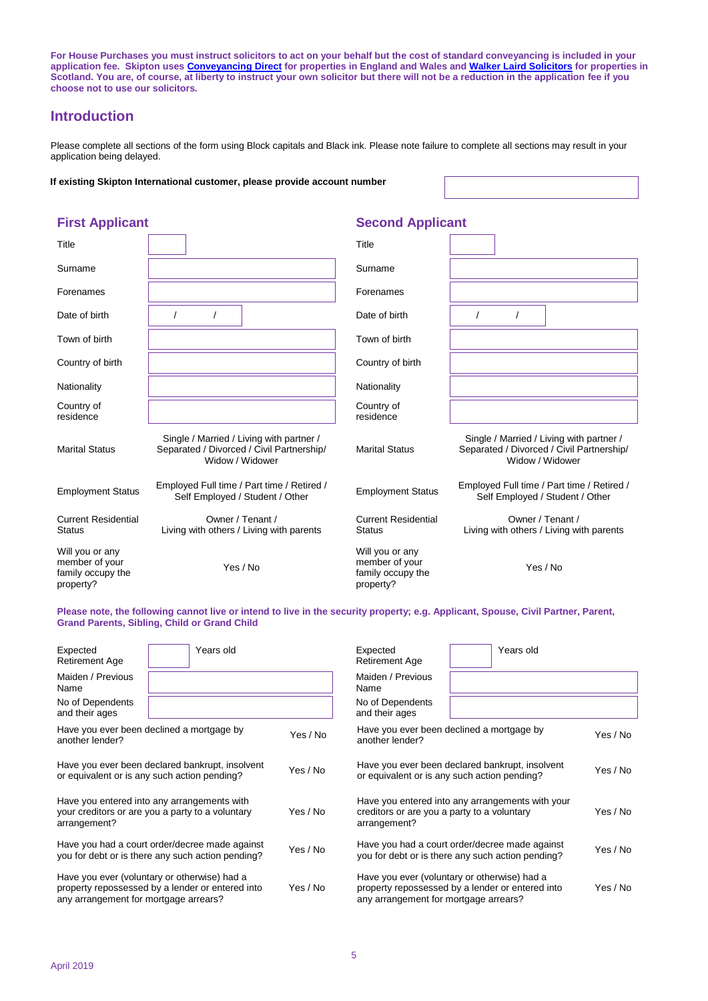**For House Purchases you must instruct solicitors to act on your behalf but the cost of standard conveyancing is included in your application fee. Skipton use[s Conveyancing Direct](https://www.conveyancingdirect.net/) for properties in England and Wales an[d Walker Laird Solicitors](https://walkerlaird.co.uk/) for properties in Scotland. You are, of course, at liberty to instruct your own solicitor but there will not be a reduction in the application fee if you choose not to use our solicitors.**

#### **Introduction**

Please complete all sections of the form using Block capitals and Black ink. Please note failure to complete all sections may result in your application being delayed.

**If existing Skipton International customer, please provide account number**

#### Title **Title** Title Surname and the state of the state of the Surname surname state of the Surname state of the Surname state of the Surname state of the Surname state of the Surname state of the Surname state of the Surname state of the Surn Forenames Forenames Date of birth / / Date of birth / / Town of birth Town of birth Country of birth Country of birth Nationality Nationality Nationality Country of residence Country of residence Marital Status Single / Married / Living with partner / Separated / Divorced / Civil Partnership/ Widow / Widower Marital Status Single / Married / Living with partner / Separated / Divorced / Civil Partnership/ Widow / Widower Employment Status Employed Full time / Part time / Retired / Employment Status Employed Full time / Part time / Retired / Self Employed / Student / Other Current Residential **Status** Owner / Tenant / Living with others / Living with parents Current Residential **Status** Owner / Tenant / Living with others / Living with parents Will you or any member of your family occupy the property? Yes / No Will you or any member of your family occupy the property? Yes / No

**Please note, the following cannot live or intend to live in the security property; e.g. Applicant, Spouse, Civil Partner, Parent, Grand Parents, Sibling, Child or Grand Child**

| Expected<br><b>Retirement Age</b>                                                                               | Years old                                                                                           |          | Expected<br><b>Retirement Age</b>                                                                               | Years old                                                                                           |          |
|-----------------------------------------------------------------------------------------------------------------|-----------------------------------------------------------------------------------------------------|----------|-----------------------------------------------------------------------------------------------------------------|-----------------------------------------------------------------------------------------------------|----------|
| Maiden / Previous<br>Name                                                                                       |                                                                                                     |          | Maiden / Previous<br>Name                                                                                       |                                                                                                     |          |
| No of Dependents<br>and their ages                                                                              |                                                                                                     |          | No of Dependents<br>and their ages                                                                              |                                                                                                     |          |
| Have you ever been declined a mortgage by<br>another lender?                                                    |                                                                                                     | Yes / No | Have you ever been declined a mortgage by<br>another lender?                                                    |                                                                                                     | Yes / No |
| Have you ever been declared bankrupt, insolvent<br>or equivalent or is any such action pending?                 |                                                                                                     | Yes / No |                                                                                                                 | Have you ever been declared bankrupt, insolvent<br>or equivalent or is any such action pending?     | Yes / No |
| Have you entered into any arrangements with<br>your creditors or are you a party to a voluntary<br>arrangement? |                                                                                                     | Yes / No | Have you entered into any arrangements with your<br>creditors or are you a party to a voluntary<br>arrangement? |                                                                                                     | Yes / No |
|                                                                                                                 | Have you had a court order/decree made against<br>you for debt or is there any such action pending? | Yes / No |                                                                                                                 | Have you had a court order/decree made against<br>you for debt or is there any such action pending? | Yes / No |
| any arrangement for mortgage arrears?                                                                           | Have you ever (voluntary or otherwise) had a<br>property repossessed by a lender or entered into    | Yes / No | any arrangement for mortgage arrears?                                                                           | Have you ever (voluntary or otherwise) had a<br>property repossessed by a lender or entered into    | Yes / No |

#### **First Applicant Second Applicant**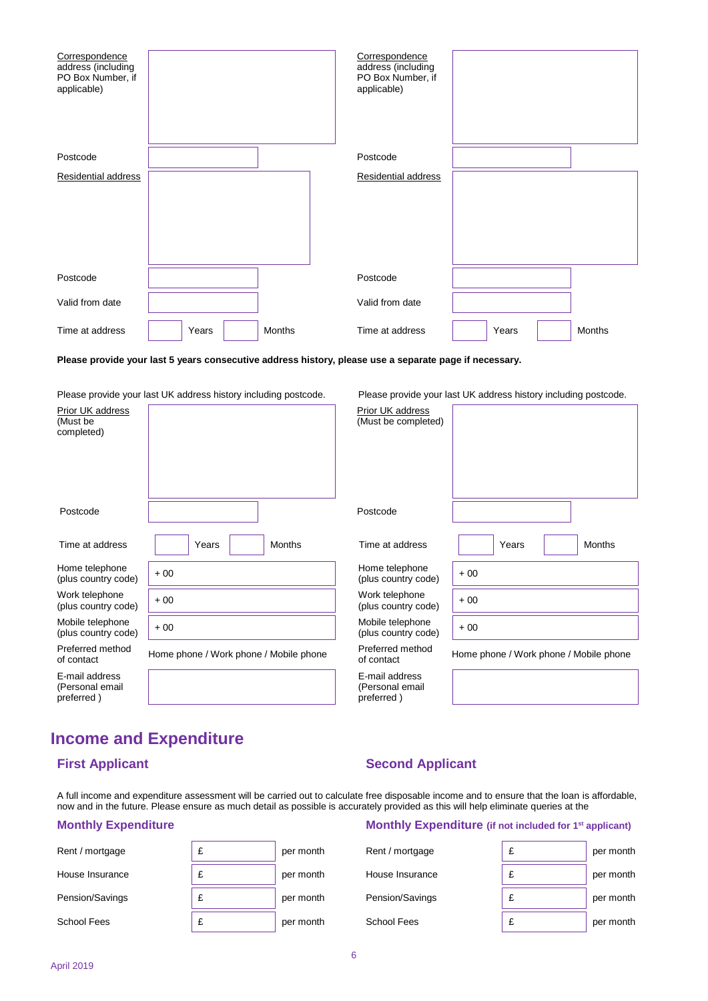| Correspondence<br>address (including<br>PO Box Number, if<br>applicable) |       |        | Correspondence<br>address (including<br>PO Box Number, if<br>applicable) |       |        |
|--------------------------------------------------------------------------|-------|--------|--------------------------------------------------------------------------|-------|--------|
| Postcode                                                                 |       |        | Postcode                                                                 |       |        |
| Residential address                                                      |       |        | Residential address                                                      |       |        |
|                                                                          |       |        |                                                                          |       |        |
| Postcode                                                                 |       |        | Postcode                                                                 |       |        |
| Valid from date                                                          |       |        | Valid from date                                                          |       |        |
| Time at address                                                          | Years | Months | Time at address                                                          | Years | Months |

**Please provide your last 5 years consecutive address history, please use a separate page if necessary.**

Please provide your last UK address history including postcode. Please provide your last UK address history including postcode.

| Prior UK address<br>(Must be<br>completed)      |                                        | Prior UK address<br>(Must be completed)         |                                        |
|-------------------------------------------------|----------------------------------------|-------------------------------------------------|----------------------------------------|
| Postcode                                        |                                        | Postcode                                        |                                        |
| Time at address                                 | <b>Months</b><br>Years                 | Time at address                                 | Years<br><b>Months</b>                 |
| Home telephone<br>(plus country code)           | $+00$                                  | Home telephone<br>(plus country code)           | $+00$                                  |
| Work telephone<br>(plus country code)           | $+00$                                  | Work telephone<br>(plus country code)           | $+00$                                  |
| Mobile telephone<br>(plus country code)         | $+00$                                  | Mobile telephone<br>(plus country code)         | $+00$                                  |
| Preferred method<br>of contact                  | Home phone / Work phone / Mobile phone | Preferred method<br>of contact                  | Home phone / Work phone / Mobile phone |
| E-mail address<br>(Personal email<br>preferred) |                                        | E-mail address<br>(Personal email<br>preferred) |                                        |

## **Income and Expenditure**

### **First Applicant Second Applicant**

A full income and expenditure assessment will be carried out to calculate free disposable income and to ensure that the loan is affordable, now and in the future. Please ensure as much detail as possible is accurately provided as this will help eliminate queries at the

| Rent / mortgage | per month | Rent / mortgage | per month |
|-----------------|-----------|-----------------|-----------|
| House Insurance | per month | House Insurance | per month |
| Pension/Savings | per month | Pension/Savings | per month |
| School Fees     | per month | School Fees     | per month |

#### **Monthly Expenditure Monthly Expenditure** (if not included for 1<sup>st</sup> applicant)

| ntgage  | £ | per month |
|---------|---|-----------|
| surance | £ | per month |
| Savings | £ | per month |
| es      | £ | per month |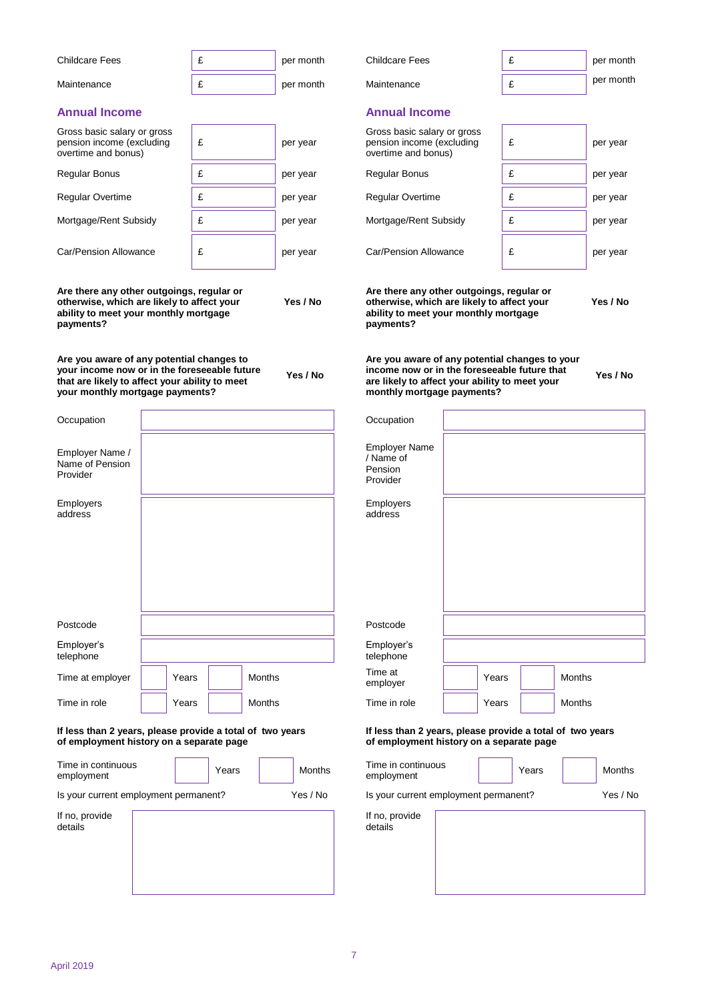|                                                                                                                                                                                |       | £     |               | <b>Childcare Fees</b>                                                                                                                                                          |       |       |               |                        |
|--------------------------------------------------------------------------------------------------------------------------------------------------------------------------------|-------|-------|---------------|--------------------------------------------------------------------------------------------------------------------------------------------------------------------------------|-------|-------|---------------|------------------------|
| Childcare Fees                                                                                                                                                                 |       |       | per month     |                                                                                                                                                                                | £     |       |               | per month<br>per month |
| Maintenance                                                                                                                                                                    |       | £     | per month     | Maintenance                                                                                                                                                                    | £     |       |               |                        |
| <b>Annual Income</b>                                                                                                                                                           |       |       |               | <b>Annual Income</b>                                                                                                                                                           |       |       |               |                        |
| Gross basic salary or gross<br>pension income (excluding<br>overtime and bonus)                                                                                                |       | £     | per year      | Gross basic salary or gross<br>pension income (excluding<br>overtime and bonus)                                                                                                | £     |       |               | per year               |
| Regular Bonus                                                                                                                                                                  |       | £     | per year      | <b>Regular Bonus</b>                                                                                                                                                           | £     |       |               | per year               |
| Regular Overtime                                                                                                                                                               |       | £     | per year      | Regular Overtime                                                                                                                                                               |       | £     |               | per year               |
| Mortgage/Rent Subsidy                                                                                                                                                          |       | £     | per year      | Mortgage/Rent Subsidy                                                                                                                                                          | £     |       |               | per year               |
| Car/Pension Allowance                                                                                                                                                          |       | £     | per year      | Car/Pension Allowance                                                                                                                                                          | £     |       |               | per year               |
| Are there any other outgoings, regular or<br>otherwise, which are likely to affect your<br>ability to meet your monthly mortgage<br>payments?                                  |       |       | Yes / No      | Are there any other outgoings, regular or<br>otherwise, which are likely to affect your<br>ability to meet your monthly mortgage<br>payments?                                  |       |       |               | Yes / No               |
| Are you aware of any potential changes to<br>your income now or in the foreseeable future<br>that are likely to affect your ability to meet<br>your monthly mortgage payments? |       |       | Yes / No      | Are you aware of any potential changes to your<br>income now or in the foreseeable future that<br>are likely to affect your ability to meet your<br>monthly mortgage payments? |       |       |               | Yes / No               |
| Occupation                                                                                                                                                                     |       |       |               | Occupation                                                                                                                                                                     |       |       |               |                        |
| Employer Name /<br>Name of Pension<br>Provider                                                                                                                                 |       |       |               | <b>Employer Name</b><br>/ Name of<br>Pension<br>Provider                                                                                                                       |       |       |               |                        |
| Employers<br>address                                                                                                                                                           |       |       |               | <b>Employers</b><br>address                                                                                                                                                    |       |       |               |                        |
|                                                                                                                                                                                |       |       |               |                                                                                                                                                                                |       |       |               |                        |
| Postcode                                                                                                                                                                       |       |       |               | Postcode                                                                                                                                                                       |       |       |               |                        |
| Employer's<br>telephone                                                                                                                                                        |       |       |               | Employer's<br>telephone                                                                                                                                                        |       |       |               |                        |
| Time at employer                                                                                                                                                               | Years |       | <b>Months</b> | Time at<br>employer                                                                                                                                                            | Years |       | <b>Months</b> |                        |
| Time in role                                                                                                                                                                   | Years |       | Months        | Time in role                                                                                                                                                                   | Years |       | Months        |                        |
| If less than 2 years, please provide a total of two years<br>of employment history on a separate page                                                                          |       |       |               | If less than 2 years, please provide a total of two years<br>of employment history on a separate page                                                                          |       |       |               |                        |
| Time in continuous<br>employment                                                                                                                                               |       | Years | <b>Months</b> | Time in continuous<br>employment                                                                                                                                               |       | Years |               | <b>Months</b>          |
| Is your current employment permanent?                                                                                                                                          |       |       | Yes / No      | Is your current employment permanent?                                                                                                                                          |       |       |               | Yes / No               |
| If no, provide<br>details                                                                                                                                                      |       |       |               | If no, provide<br>details                                                                                                                                                      |       |       |               |                        |
|                                                                                                                                                                                |       |       |               |                                                                                                                                                                                |       |       |               |                        |
|                                                                                                                                                                                |       |       |               |                                                                                                                                                                                |       |       |               |                        |
|                                                                                                                                                                                |       |       |               |                                                                                                                                                                                |       |       |               |                        |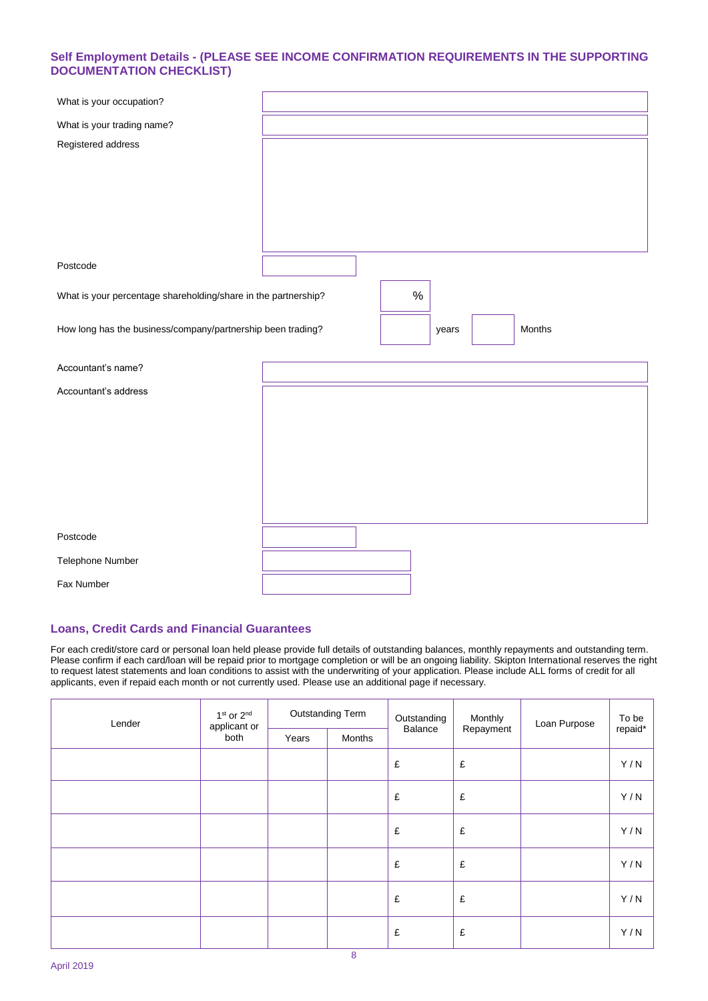#### **Self Employment Details - (PLEASE SEE INCOME CONFIRMATION REQUIREMENTS IN THE SUPPORTING DOCUMENTATION CHECKLIST)**

| What is your occupation?                                       |        |
|----------------------------------------------------------------|--------|
| What is your trading name?                                     |        |
| Registered address                                             |        |
|                                                                |        |
|                                                                |        |
|                                                                |        |
|                                                                |        |
|                                                                |        |
| Postcode                                                       |        |
| What is your percentage shareholding/share in the partnership? | $\%$   |
|                                                                | Months |
| How long has the business/company/partnership been trading?    | years  |
| Accountant's name?                                             |        |
| Accountant's address                                           |        |
|                                                                |        |
|                                                                |        |
|                                                                |        |
|                                                                |        |
|                                                                |        |
|                                                                |        |
|                                                                |        |
|                                                                |        |
| Postcode<br>Telephone Number                                   |        |

#### **Loans, Credit Cards and Financial Guarantees**

For each credit/store card or personal loan held please provide full details of outstanding balances, monthly repayments and outstanding term. Please confirm if each card/loan will be repaid prior to mortgage completion or will be an ongoing liability. Skipton International reserves the right to request latest statements and loan conditions to assist with the underwriting of your application. Please include ALL forms of credit for all applicants, even if repaid each month or not currently used. Please use an additional page if necessary.

| Lender | 1 <sup>st</sup> or 2 <sup>nd</sup><br>applicant or | <b>Outstanding Term</b> |        | Outstanding | Monthly   | Loan Purpose | To be   |
|--------|----------------------------------------------------|-------------------------|--------|-------------|-----------|--------------|---------|
|        | both                                               | Years                   | Months | Balance     | Repayment |              | repaid* |
|        |                                                    |                         |        | £           | £         |              | Y/N     |
|        |                                                    |                         |        | £           | £         |              | Y/N     |
|        |                                                    |                         |        | £           | £         |              | Y/N     |
|        |                                                    |                         |        | £           | £         |              | Y/N     |
|        |                                                    |                         |        | £           | £         |              | Y/N     |
|        |                                                    |                         |        | £           | £         |              | Y/N     |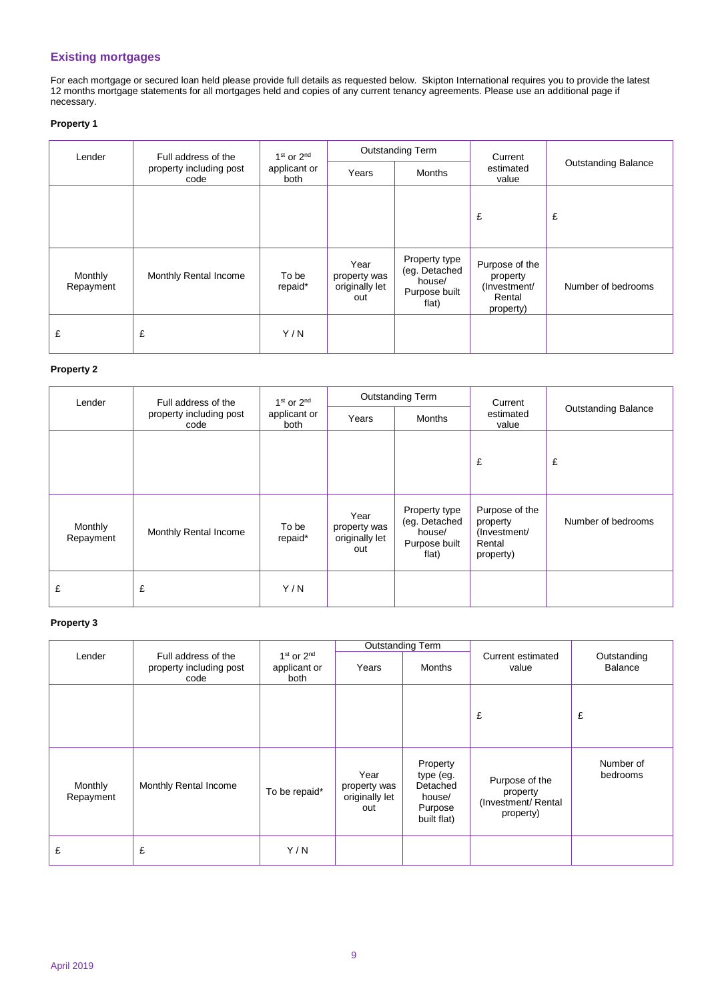#### **Existing mortgages**

For each mortgage or secured loan held please provide full details as requested below. Skipton International requires you to provide the latest 12 months mortgage statements for all mortgages held and copies of any current tenancy agreements. Please use an additional page if necessary.

#### **Property 1**

| Lender               | Full address of the             | $1st$ or $2nd$       |                                               | <b>Outstanding Term</b>                                            | Current                                                           |                            |
|----------------------|---------------------------------|----------------------|-----------------------------------------------|--------------------------------------------------------------------|-------------------------------------------------------------------|----------------------------|
|                      | property including post<br>code | applicant or<br>both | Years                                         | <b>Months</b>                                                      | estimated<br>value                                                | <b>Outstanding Balance</b> |
|                      |                                 |                      |                                               |                                                                    | £                                                                 | £                          |
| Monthly<br>Repayment | Monthly Rental Income           | To be<br>repaid*     | Year<br>property was<br>originally let<br>out | Property type<br>(eg. Detached<br>house/<br>Purpose built<br>flat) | Purpose of the<br>property<br>(Investment/<br>Rental<br>property) | Number of bedrooms         |
| £                    | £                               | Y/N                  |                                               |                                                                    |                                                                   |                            |

#### **Property 2**

| Lender               | Full address of the             | $1st$ or $2nd$       | <b>Outstanding Term</b>                       |                                                                    | Current                                                           |                            |
|----------------------|---------------------------------|----------------------|-----------------------------------------------|--------------------------------------------------------------------|-------------------------------------------------------------------|----------------------------|
|                      | property including post<br>code | applicant or<br>both | Years                                         | Months                                                             | estimated<br>value                                                | <b>Outstanding Balance</b> |
|                      |                                 |                      |                                               |                                                                    | £                                                                 | £                          |
| Monthly<br>Repayment | Monthly Rental Income           | To be<br>repaid*     | Year<br>property was<br>originally let<br>out | Property type<br>(eg. Detached<br>house/<br>Purpose built<br>flat) | Purpose of the<br>property<br>(Investment/<br>Rental<br>property) | Number of bedrooms         |
| £                    | £                               | Y/N                  |                                               |                                                                    |                                                                   |                            |

#### **Property 3**

|                      |                                                        |                                        |                                               | <b>Outstanding Term</b>                                               |                                                                |                               |
|----------------------|--------------------------------------------------------|----------------------------------------|-----------------------------------------------|-----------------------------------------------------------------------|----------------------------------------------------------------|-------------------------------|
| Lender               | Full address of the<br>property including post<br>code | $1st$ or $2nd$<br>applicant or<br>both | <b>Months</b><br>Years                        |                                                                       | Current estimated<br>value                                     | Outstanding<br><b>Balance</b> |
|                      |                                                        |                                        |                                               |                                                                       | £                                                              | £                             |
| Monthly<br>Repayment | Monthly Rental Income                                  | To be repaid*                          | Year<br>property was<br>originally let<br>out | Property<br>type (eg.<br>Detached<br>house/<br>Purpose<br>built flat) | Purpose of the<br>property<br>(Investment/ Rental<br>property) | Number of<br>bedrooms         |
| £                    | £                                                      | Y/N                                    |                                               |                                                                       |                                                                |                               |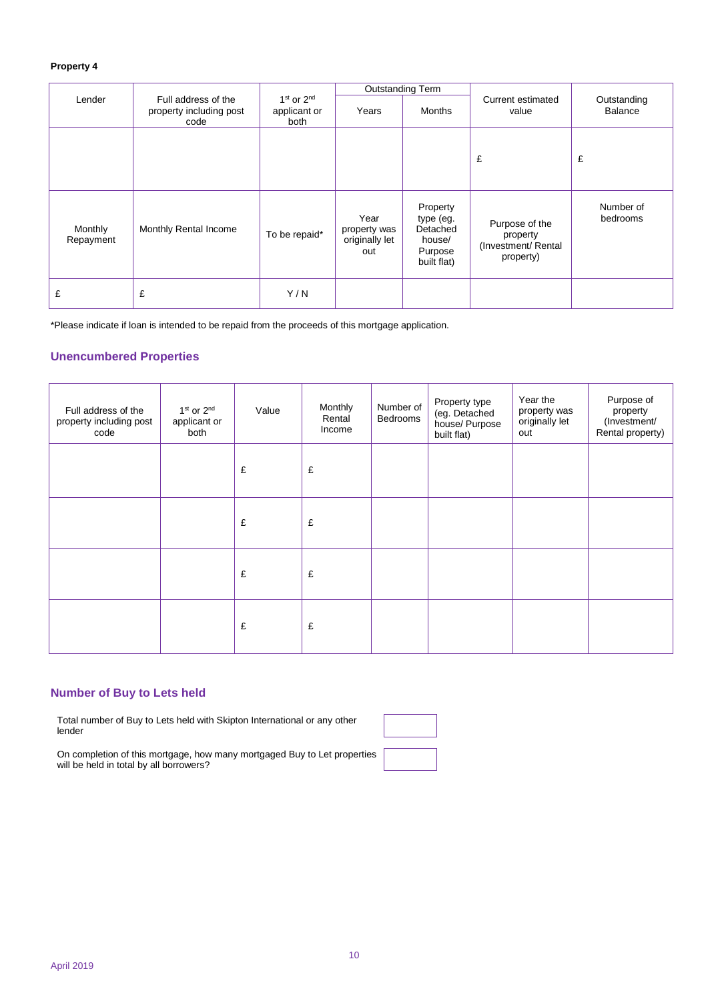#### **Property 4**

|                      |                                                                                                                            |               | <b>Outstanding Term</b>                       |                                                                       |                                                                |                       |
|----------------------|----------------------------------------------------------------------------------------------------------------------------|---------------|-----------------------------------------------|-----------------------------------------------------------------------|----------------------------------------------------------------|-----------------------|
| Lender               | $1st$ or $2nd$<br>Full address of the<br>property including post<br>applicant or<br><b>Months</b><br>Years<br>both<br>code |               |                                               | Current estimated<br>value                                            | Outstanding<br>Balance                                         |                       |
|                      |                                                                                                                            |               |                                               |                                                                       | £                                                              | £                     |
| Monthly<br>Repayment | Monthly Rental Income                                                                                                      | To be repaid* | Year<br>property was<br>originally let<br>out | Property<br>type (eg.<br>Detached<br>house/<br>Purpose<br>built flat) | Purpose of the<br>property<br>(Investment/ Rental<br>property) | Number of<br>bedrooms |
| £                    | £                                                                                                                          | Y/N           |                                               |                                                                       |                                                                |                       |

\*Please indicate if loan is intended to be repaid from the proceeds of this mortgage application.

#### **Unencumbered Properties**

| Full address of the<br>property including post<br>code | 1 <sup>st</sup> or 2 <sup>nd</sup><br>applicant or<br>both | Value | Monthly<br>Rental<br>Income | Number of<br>Bedrooms | Property type<br>(eg. Detached<br>house/ Purpose<br>built flat) | Year the<br>property was<br>originally let<br>out | Purpose of<br>property<br>(Investment/<br>Rental property) |
|--------------------------------------------------------|------------------------------------------------------------|-------|-----------------------------|-----------------------|-----------------------------------------------------------------|---------------------------------------------------|------------------------------------------------------------|
|                                                        |                                                            | £     | £                           |                       |                                                                 |                                                   |                                                            |
|                                                        |                                                            | £     | £                           |                       |                                                                 |                                                   |                                                            |
|                                                        |                                                            | £     | £                           |                       |                                                                 |                                                   |                                                            |
|                                                        |                                                            | £     | £                           |                       |                                                                 |                                                   |                                                            |

#### **Number of Buy to Lets held**

Total number of Buy to Lets held with Skipton International or any other lender

On completion of this mortgage, how many mortgaged Buy to Let properties will be held in total by all borrowers?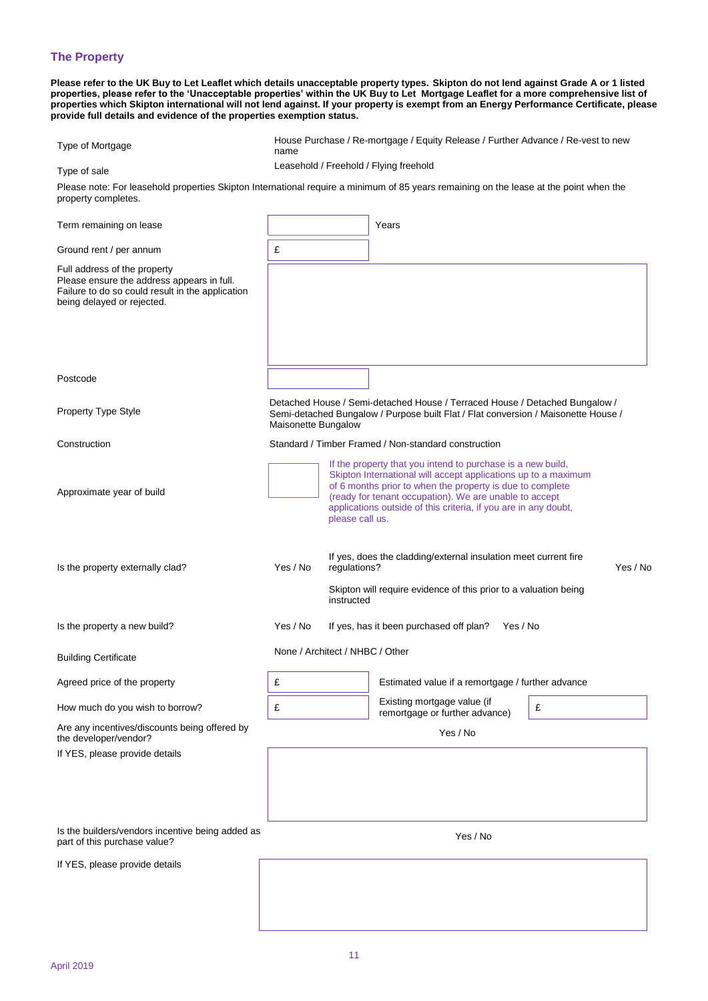#### **The Property**

**Please refer to the UK Buy to Let Leaflet which details unacceptable property types. Skipton do not lend against Grade A or 1 listed properties, please refer to the 'Unacceptable properties' within the UK Buy to Let Mortgage Leaflet for a more comprehensive list of properties which Skipton international will not lend against. If your property is exempt from an Energy Performance Certificate, please provide full details and evidence of the properties exemption status.**

| Type of Mortgage                                                                                                                                              | House Purchase / Re-mortgage / Equity Release / Further Advance / Re-vest to new<br>name |                                                                                                                                                                                                                                                                                                                                            |                                                                                                                                                                   |          |  |  |
|---------------------------------------------------------------------------------------------------------------------------------------------------------------|------------------------------------------------------------------------------------------|--------------------------------------------------------------------------------------------------------------------------------------------------------------------------------------------------------------------------------------------------------------------------------------------------------------------------------------------|-------------------------------------------------------------------------------------------------------------------------------------------------------------------|----------|--|--|
| Type of sale                                                                                                                                                  |                                                                                          |                                                                                                                                                                                                                                                                                                                                            | Leasehold / Freehold / Flying freehold                                                                                                                            |          |  |  |
| Please note: For leasehold properties Skipton International require a minimum of 85 years remaining on the lease at the point when the<br>property completes. |                                                                                          |                                                                                                                                                                                                                                                                                                                                            |                                                                                                                                                                   |          |  |  |
| Term remaining on lease                                                                                                                                       |                                                                                          |                                                                                                                                                                                                                                                                                                                                            | Years                                                                                                                                                             |          |  |  |
| Ground rent / per annum                                                                                                                                       | £                                                                                        |                                                                                                                                                                                                                                                                                                                                            |                                                                                                                                                                   |          |  |  |
| Full address of the property<br>Please ensure the address appears in full.<br>Failure to do so could result in the application<br>being delayed or rejected.  |                                                                                          |                                                                                                                                                                                                                                                                                                                                            |                                                                                                                                                                   |          |  |  |
|                                                                                                                                                               |                                                                                          |                                                                                                                                                                                                                                                                                                                                            |                                                                                                                                                                   |          |  |  |
| Postcode                                                                                                                                                      |                                                                                          |                                                                                                                                                                                                                                                                                                                                            |                                                                                                                                                                   |          |  |  |
| Property Type Style                                                                                                                                           | Maisonette Bungalow                                                                      |                                                                                                                                                                                                                                                                                                                                            | Detached House / Semi-detached House / Terraced House / Detached Bungalow /<br>Semi-detached Bungalow / Purpose built Flat / Flat conversion / Maisonette House / |          |  |  |
| Construction                                                                                                                                                  |                                                                                          |                                                                                                                                                                                                                                                                                                                                            | Standard / Timber Framed / Non-standard construction                                                                                                              |          |  |  |
| Approximate year of build                                                                                                                                     |                                                                                          | If the property that you intend to purchase is a new build,<br>Skipton International will accept applications up to a maximum<br>of 6 months prior to when the property is due to complete<br>(ready for tenant occupation). We are unable to accept<br>applications outside of this criteria, if you are in any doubt,<br>please call us. |                                                                                                                                                                   |          |  |  |
| Is the property externally clad?                                                                                                                              | Yes / No                                                                                 | regulations?<br>instructed                                                                                                                                                                                                                                                                                                                 | If yes, does the cladding/external insulation meet current fire<br>Skipton will require evidence of this prior to a valuation being                               | Yes / No |  |  |
| Is the property a new build?                                                                                                                                  | Yes / No                                                                                 |                                                                                                                                                                                                                                                                                                                                            | If yes, has it been purchased off plan?<br>Yes / No                                                                                                               |          |  |  |
| Building Certificate                                                                                                                                          |                                                                                          | None / Architect / NHBC / Other                                                                                                                                                                                                                                                                                                            |                                                                                                                                                                   |          |  |  |
| Agreed price of the property                                                                                                                                  | £                                                                                        |                                                                                                                                                                                                                                                                                                                                            | Estimated value if a remortgage / further advance                                                                                                                 |          |  |  |
| How much do you wish to borrow?                                                                                                                               | £                                                                                        |                                                                                                                                                                                                                                                                                                                                            | Existing mortgage value (if<br>remortgage or further advance)                                                                                                     | £        |  |  |
| Are any incentives/discounts being offered by<br>the developer/vendor?                                                                                        |                                                                                          |                                                                                                                                                                                                                                                                                                                                            | Yes / No                                                                                                                                                          |          |  |  |
| If YES, please provide details                                                                                                                                |                                                                                          |                                                                                                                                                                                                                                                                                                                                            |                                                                                                                                                                   |          |  |  |
| Is the builders/vendors incentive being added as<br>part of this purchase value?                                                                              |                                                                                          |                                                                                                                                                                                                                                                                                                                                            | Yes / No                                                                                                                                                          |          |  |  |
| If YES, please provide details                                                                                                                                |                                                                                          |                                                                                                                                                                                                                                                                                                                                            |                                                                                                                                                                   |          |  |  |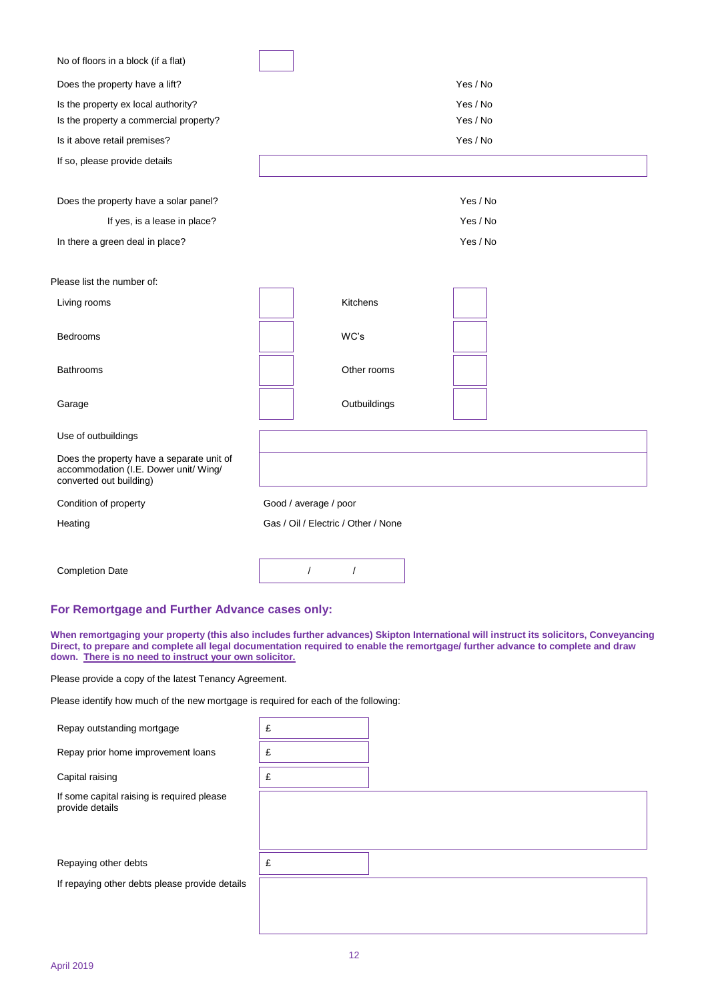| No of floors in a block (if a flat)                                                                           |                                     |
|---------------------------------------------------------------------------------------------------------------|-------------------------------------|
| Does the property have a lift?                                                                                | Yes / No                            |
| Is the property ex local authority?<br>Is the property a commercial property?                                 | Yes / No<br>Yes / No                |
| Is it above retail premises?                                                                                  | Yes / No                            |
| If so, please provide details                                                                                 |                                     |
| Does the property have a solar panel?<br>If yes, is a lease in place?<br>In there a green deal in place?      | Yes / No<br>Yes / No<br>Yes / No    |
| Please list the number of:                                                                                    |                                     |
| Living rooms                                                                                                  | <b>Kitchens</b>                     |
| Bedrooms                                                                                                      | WC's                                |
| <b>Bathrooms</b>                                                                                              | Other rooms                         |
| Garage                                                                                                        | Outbuildings                        |
| Use of outbuildings                                                                                           |                                     |
| Does the property have a separate unit of<br>accommodation (I.E. Dower unit/ Wing/<br>converted out building) |                                     |
| Condition of property                                                                                         | Good / average / poor               |
| Heating                                                                                                       | Gas / Oil / Electric / Other / None |
|                                                                                                               |                                     |
| <b>Completion Date</b>                                                                                        | $\prime$<br>$\prime$                |

#### **For Remortgage and Further Advance cases only:**

**When remortgaging your property (this also includes further advances) Skipton International will instruct its solicitors, Conveyancing Direct, to prepare and complete all legal documentation required to enable the remortgage/ further advance to complete and draw down. There is no need to instruct your own solicitor.**

Please provide a copy of the latest Tenancy Agreement.

Please identify how much of the new mortgage is required for each of the following:

| Repay outstanding mortgage                                    | £ |  |
|---------------------------------------------------------------|---|--|
| Repay prior home improvement loans                            | £ |  |
| Capital raising                                               | £ |  |
| If some capital raising is required please<br>provide details |   |  |
| Repaying other debts                                          | £ |  |
| If repaying other debts please provide details                |   |  |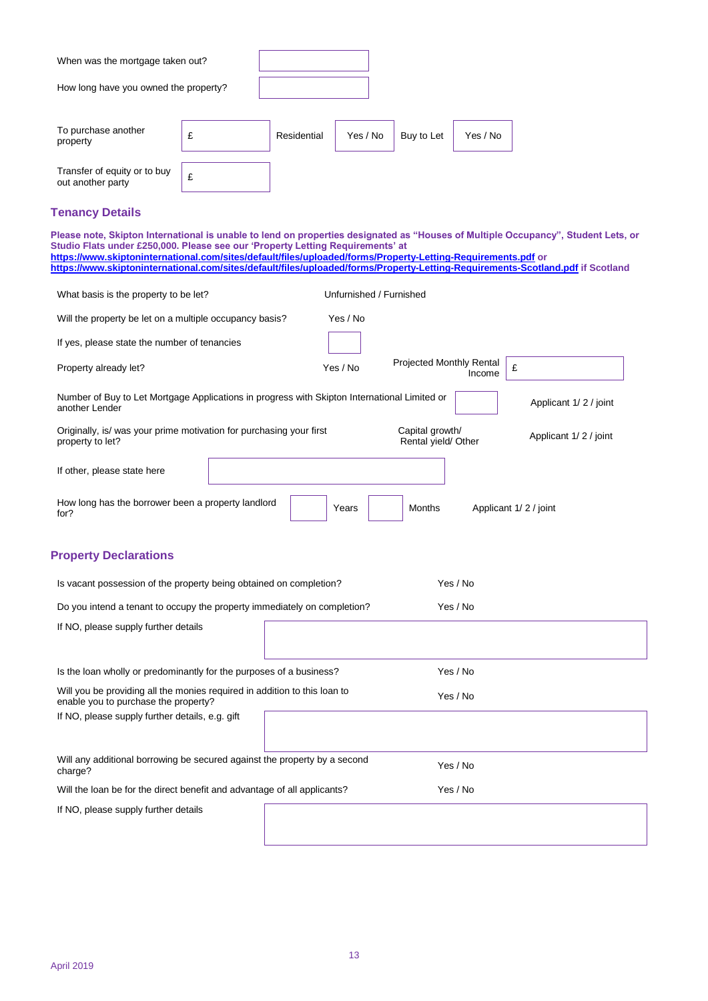| When was the mortgage taken out?                                                                                                                                                                                                                                                                                                 |   |             |                         |                                        |          |                                                                                                                                   |
|----------------------------------------------------------------------------------------------------------------------------------------------------------------------------------------------------------------------------------------------------------------------------------------------------------------------------------|---|-------------|-------------------------|----------------------------------------|----------|-----------------------------------------------------------------------------------------------------------------------------------|
| How long have you owned the property?                                                                                                                                                                                                                                                                                            |   |             |                         |                                        |          |                                                                                                                                   |
|                                                                                                                                                                                                                                                                                                                                  |   |             |                         |                                        |          |                                                                                                                                   |
| To purchase another<br>property                                                                                                                                                                                                                                                                                                  | £ | Residential | Yes / No                | Buy to Let                             | Yes / No |                                                                                                                                   |
| Transfer of equity or to buy<br>out another party                                                                                                                                                                                                                                                                                | £ |             |                         |                                        |          |                                                                                                                                   |
| <b>Tenancy Details</b>                                                                                                                                                                                                                                                                                                           |   |             |                         |                                        |          |                                                                                                                                   |
| Studio Flats under £250,000. Please see our 'Property Letting Requirements' at<br>https://www.skiptoninternational.com/sites/default/files/uploaded/forms/Property-Letting-Requirements.pdf or<br>https://www.skiptoninternational.com/sites/default/files/uploaded/forms/Property-Letting-Requirements-Scotland.pdf if Scotland |   |             |                         |                                        |          | Please note, Skipton International is unable to lend on properties designated as "Houses of Multiple Occupancy", Student Lets, or |
| What basis is the property to be let?                                                                                                                                                                                                                                                                                            |   |             | Unfurnished / Furnished |                                        |          |                                                                                                                                   |
| Will the property be let on a multiple occupancy basis?                                                                                                                                                                                                                                                                          |   |             | Yes / No                |                                        |          |                                                                                                                                   |
| If yes, please state the number of tenancies                                                                                                                                                                                                                                                                                     |   |             |                         |                                        |          |                                                                                                                                   |
| Property already let?                                                                                                                                                                                                                                                                                                            |   |             | Yes / No                | Projected Monthly Rental               | Income   | £                                                                                                                                 |
| Number of Buy to Let Mortgage Applications in progress with Skipton International Limited or<br>another Lender                                                                                                                                                                                                                   |   |             |                         |                                        |          | Applicant 1/2/joint                                                                                                               |
| Originally, is/ was your prime motivation for purchasing your first<br>property to let?                                                                                                                                                                                                                                          |   |             |                         | Capital growth/<br>Rental yield/ Other |          | Applicant 1/2/joint                                                                                                               |
| If other, please state here                                                                                                                                                                                                                                                                                                      |   |             |                         |                                        |          |                                                                                                                                   |
| How long has the borrower been a property landlord<br>for?                                                                                                                                                                                                                                                                       |   |             | Years                   | Months                                 |          | Applicant 1/2/joint                                                                                                               |
| <b>Property Declarations</b>                                                                                                                                                                                                                                                                                                     |   |             |                         |                                        |          |                                                                                                                                   |
| Is vacant possession of the property being obtained on completion?                                                                                                                                                                                                                                                               |   |             |                         |                                        | Yes / No |                                                                                                                                   |
| Do you intend a tenant to occupy the property immediately on completion?                                                                                                                                                                                                                                                         |   |             |                         |                                        | Yes / No |                                                                                                                                   |
| If NO, please supply further details                                                                                                                                                                                                                                                                                             |   |             |                         |                                        |          |                                                                                                                                   |
| Is the loan wholly or predominantly for the purposes of a business?                                                                                                                                                                                                                                                              |   |             |                         |                                        | Yes / No |                                                                                                                                   |
| Will you be providing all the monies required in addition to this loan to<br>enable you to purchase the property?                                                                                                                                                                                                                |   |             |                         |                                        | Yes / No |                                                                                                                                   |
| If NO, please supply further details, e.g. gift                                                                                                                                                                                                                                                                                  |   |             |                         |                                        |          |                                                                                                                                   |
| Will any additional borrowing be secured against the property by a second<br>charge?                                                                                                                                                                                                                                             |   |             |                         |                                        | Yes / No |                                                                                                                                   |
| Will the loan be for the direct benefit and advantage of all applicants?                                                                                                                                                                                                                                                         |   |             |                         |                                        | Yes / No |                                                                                                                                   |
| If NO, please supply further details                                                                                                                                                                                                                                                                                             |   |             |                         |                                        |          |                                                                                                                                   |
|                                                                                                                                                                                                                                                                                                                                  |   |             |                         |                                        |          |                                                                                                                                   |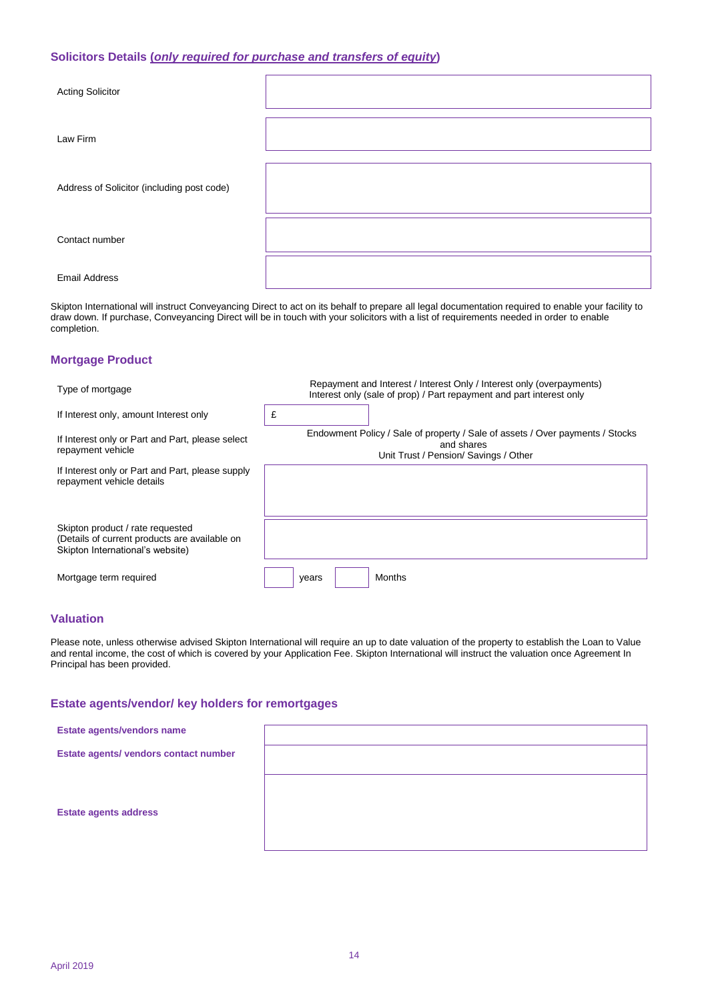#### **Solicitors Details (***only required for purchase and transfers of equity***)**

| <b>Acting Solicitor</b>                    |  |
|--------------------------------------------|--|
| Law Firm                                   |  |
| Address of Solicitor (including post code) |  |
| Contact number                             |  |
| <b>Email Address</b>                       |  |

Skipton International will instruct Conveyancing Direct to act on its behalf to prepare all legal documentation required to enable your facility to draw down. If purchase, Conveyancing Direct will be in touch with your solicitors with a list of requirements needed in order to enable completion.

#### **Mortgage Product**

| Type of mortgage                                                                                                      | Repayment and Interest / Interest Only / Interest only (overpayments)<br>Interest only (sale of prop) / Part repayment and part interest only |
|-----------------------------------------------------------------------------------------------------------------------|-----------------------------------------------------------------------------------------------------------------------------------------------|
| If Interest only, amount Interest only                                                                                | £                                                                                                                                             |
| If Interest only or Part and Part, please select<br>repayment vehicle                                                 | Endowment Policy / Sale of property / Sale of assets / Over payments / Stocks<br>and shares<br>Unit Trust / Pension/ Savings / Other          |
| If Interest only or Part and Part, please supply<br>repayment vehicle details                                         |                                                                                                                                               |
| Skipton product / rate requested<br>(Details of current products are available on<br>Skipton International's website) |                                                                                                                                               |
| Mortgage term required                                                                                                | <b>Months</b><br>years                                                                                                                        |

#### **Valuation**

Please note, unless otherwise advised Skipton International will require an up to date valuation of the property to establish the Loan to Value and rental income, the cost of which is covered by your Application Fee. Skipton International will instruct the valuation once Agreement In Principal has been provided.

#### **Estate agents/vendor/ key holders for remortgages**

| Estate agents/vendors name            |  |
|---------------------------------------|--|
| Estate agents/ vendors contact number |  |
|                                       |  |
| <b>Estate agents address</b>          |  |
|                                       |  |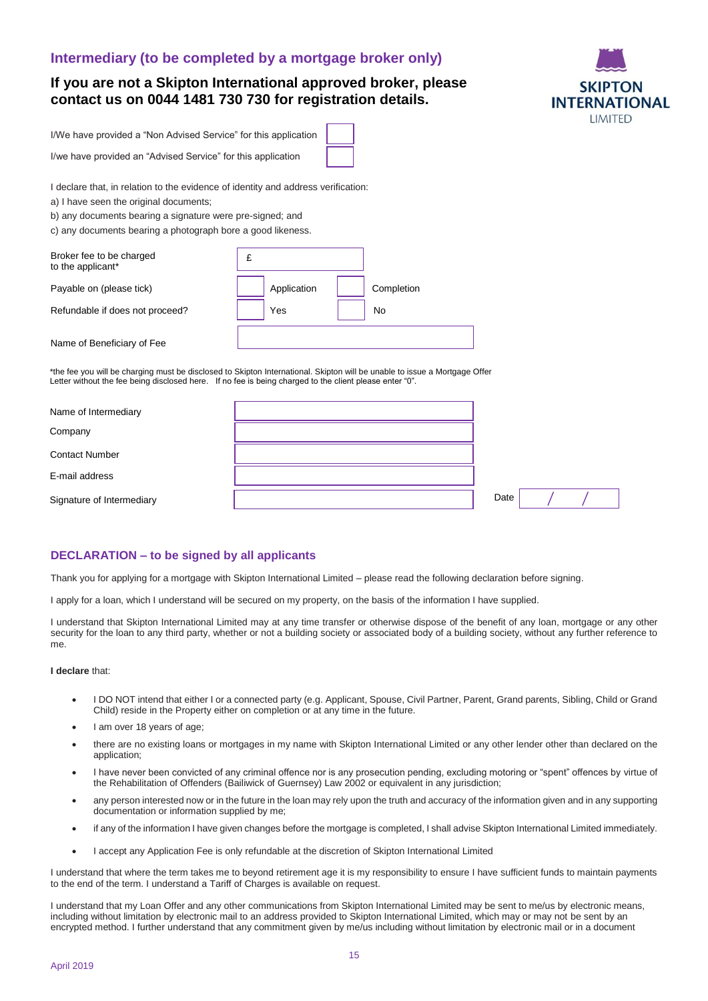#### **Intermediary (to be completed by a mortgage broker only)**

#### **If you are not a Skipton International approved broker, please contact us on 0044 1481 730 730 for registration details.**



I/We have provided a "Non Advised Service" for this application

I/we have provided an "Advised Service" for this application

I declare that, in relation to the evidence of identity and address verification:

a) I have seen the original documents;

b) any documents bearing a signature were pre-signed; and

c) any documents bearing a photograph bore a good likeness.

| Broker fee to be charged<br>to the applicant* | £ |             |            |
|-----------------------------------------------|---|-------------|------------|
| Payable on (please tick)                      |   | Application | Completion |
| Refundable if does not proceed?               |   | Yes         | No         |
| Name of Beneficiary of Fee                    |   |             |            |

\*the fee you will be charging must be disclosed to Skipton International. Skipton will be unable to issue a Mortgage Offer Letter without the fee being disclosed here. If no fee is being charged to the client please enter "0".

| Name of Intermediary      |      |  |  |
|---------------------------|------|--|--|
| Company                   |      |  |  |
| <b>Contact Number</b>     |      |  |  |
| E-mail address            |      |  |  |
| Signature of Intermediary | Date |  |  |

#### **DECLARATION – to be signed by all applicants**

Thank you for applying for a mortgage with Skipton International Limited – please read the following declaration before signing.

I apply for a loan, which I understand will be secured on my property, on the basis of the information I have supplied.

I understand that Skipton International Limited may at any time transfer or otherwise dispose of the benefit of any loan, mortgage or any other security for the loan to any third party, whether or not a building society or associated body of a building society, without any further reference to me.

#### **I declare** that:

- I DO NOT intend that either I or a connected party (e.g. Applicant, Spouse, Civil Partner, Parent, Grand parents, Sibling, Child or Grand Child) reside in the Property either on completion or at any time in the future.
- I am over 18 years of age;
- there are no existing loans or mortgages in my name with Skipton International Limited or any other lender other than declared on the application;
- I have never been convicted of any criminal offence nor is any prosecution pending, excluding motoring or "spent" offences by virtue of the Rehabilitation of Offenders (Bailiwick of Guernsey) Law 2002 or equivalent in any jurisdiction;
- any person interested now or in the future in the loan may rely upon the truth and accuracy of the information given and in any supporting documentation or information supplied by me;
- if any of the information I have given changes before the mortgage is completed, I shall advise Skipton International Limited immediately.
- I accept any Application Fee is only refundable at the discretion of Skipton International Limited

I understand that where the term takes me to beyond retirement age it is my responsibility to ensure I have sufficient funds to maintain payments to the end of the term. I understand a Tariff of Charges is available on request.

I understand that my Loan Offer and any other communications from Skipton International Limited may be sent to me/us by electronic means, including without limitation by electronic mail to an address provided to Skipton International Limited, which may or may not be sent by an encrypted method. I further understand that any commitment given by me/us including without limitation by electronic mail or in a document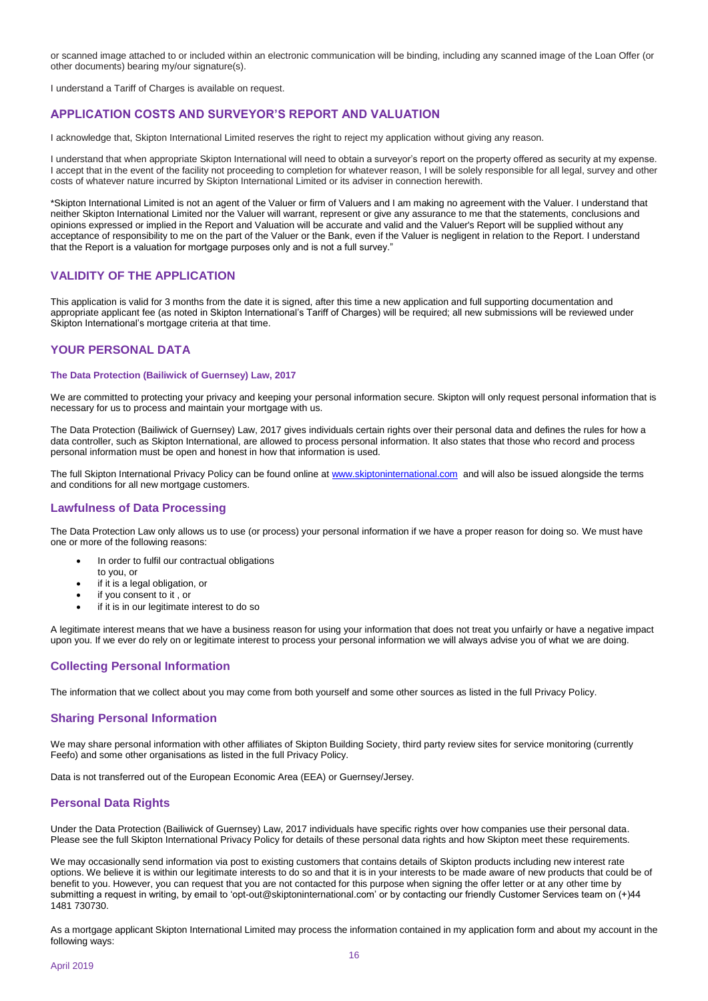or scanned image attached to or included within an electronic communication will be binding, including any scanned image of the Loan Offer (or other documents) bearing my/our signature(s).

I understand a Tariff of Charges is available on request.

#### **APPLICATION COSTS AND SURVEYOR'S REPORT AND VALUATION**

I acknowledge that, Skipton International Limited reserves the right to reject my application without giving any reason.

I understand that when appropriate Skipton International will need to obtain a surveyor's report on the property offered as security at my expense. I accept that in the event of the facility not proceeding to completion for whatever reason, I will be solely responsible for all legal, survey and other costs of whatever nature incurred by Skipton International Limited or its adviser in connection herewith.

\*Skipton International Limited is not an agent of the Valuer or firm of Valuers and I am making no agreement with the Valuer. I understand that neither Skipton International Limited nor the Valuer will warrant, represent or give any assurance to me that the statements, conclusions and opinions expressed or implied in the Report and Valuation will be accurate and valid and the Valuer's Report will be supplied without any acceptance of responsibility to me on the part of the Valuer or the Bank, even if the Valuer is negligent in relation to the Report. I understand that the Report is a valuation for mortgage purposes only and is not a full survey."

#### **VALIDITY OF THE APPLICATION**

This application is valid for 3 months from the date it is signed, after this time a new application and full supporting documentation and appropriate applicant fee (as noted in Skipton International's Tariff of Charges) will be required; all new submissions will be reviewed under Skipton International's mortgage criteria at that time.

#### **YOUR PERSONAL DATA**

#### **The Data Protection (Bailiwick of Guernsey) Law, 2017**

We are committed to protecting your privacy and keeping your personal information secure. Skipton will only request personal information that is necessary for us to process and maintain your mortgage with us.

The Data Protection (Bailiwick of Guernsey) Law, 2017 gives individuals certain rights over their personal data and defines the rules for how a data controller, such as Skipton International, are allowed to process personal information. It also states that those who record and process personal information must be open and honest in how that information is used.

The full Skipton International Privacy Policy can be found online at [www.skiptoninternational.com](http://www.skiptoninternational.com/) and will also be issued alongside the terms and conditions for all new mortgage customers.

#### **Lawfulness of Data Processing**

The Data Protection Law only allows us to use (or process) your personal information if we have a proper reason for doing so. We must have one or more of the following reasons:

- In order to fulfil our contractual obligations
- to you, or
- if it is a legal obligation, or
- if you consent to it , or
- if it is in our legitimate interest to do so

A legitimate interest means that we have a business reason for using your information that does not treat you unfairly or have a negative impact upon you. If we ever do rely on or legitimate interest to process your personal information we will always advise you of what we are doing.

#### **Collecting Personal Information**

The information that we collect about you may come from both yourself and some other sources as listed in the full Privacy Policy.

#### **Sharing Personal Information**

We may share personal information with other affiliates of Skipton Building Society, third party review sites for service monitoring (currently Feefo) and some other organisations as listed in the full Privacy Policy.

Data is not transferred out of the European Economic Area (EEA) or Guernsey/Jersey.

#### **Personal Data Rights**

Under the Data Protection (Bailiwick of Guernsey) Law, 2017 individuals have specific rights over how companies use their personal data. Please see the full Skipton International Privacy Policy for details of these personal data rights and how Skipton meet these requirements.

We may occasionally send information via post to existing customers that contains details of Skipton products including new interest rate options. We believe it is within our legitimate interests to do so and that it is in your interests to be made aware of new products that could be of benefit to you. However, you can request that you are not contacted for this purpose when signing the offer letter or at any other time by submitting a request in writing, by email to 'opt-out@skiptoninternational.com' or by contacting our friendly Customer Services team on (+)44 1481 730730.

As a mortgage applicant Skipton International Limited may process the information contained in my application form and about my account in the following ways: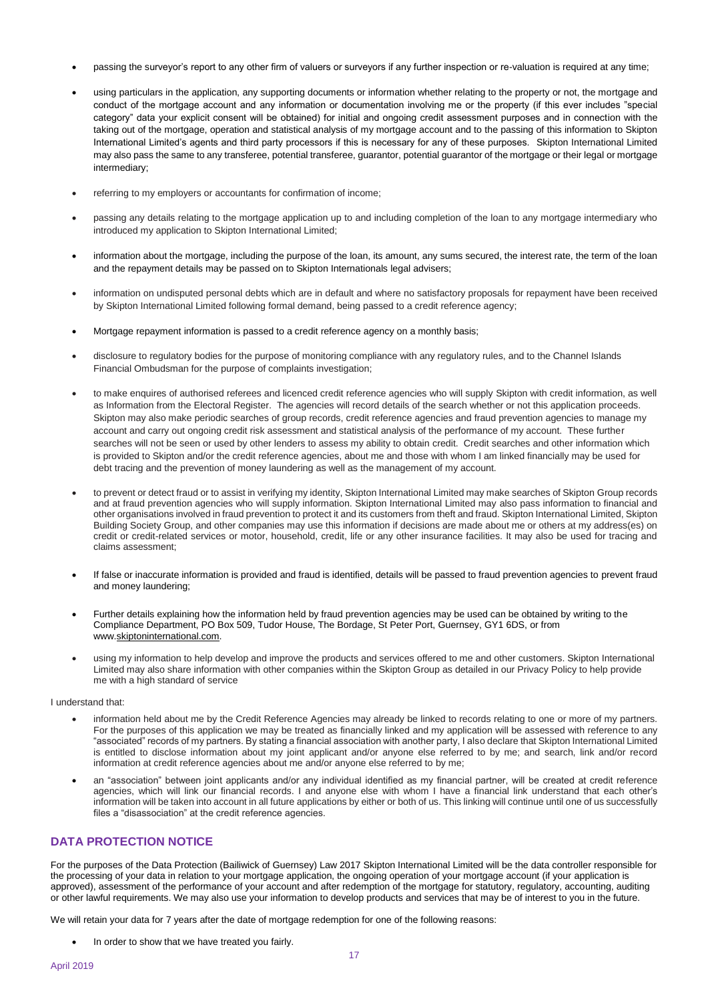- passing the surveyor's report to any other firm of valuers or surveyors if any further inspection or re-valuation is required at any time;
- using particulars in the application, any supporting documents or information whether relating to the property or not, the mortgage and conduct of the mortgage account and any information or documentation involving me or the property (if this ever includes "special category" data your explicit consent will be obtained) for initial and ongoing credit assessment purposes and in connection with the taking out of the mortgage, operation and statistical analysis of my mortgage account and to the passing of this information to Skipton International Limited's agents and third party processors if this is necessary for any of these purposes. Skipton International Limited may also pass the same to any transferee, potential transferee, guarantor, potential guarantor of the mortgage or their legal or mortgage intermediary;
- referring to my employers or accountants for confirmation of income;
- passing any details relating to the mortgage application up to and including completion of the loan to any mortgage intermediary who introduced my application to Skipton International Limited;
- information about the mortgage, including the purpose of the loan, its amount, any sums secured, the interest rate, the term of the loan and the repayment details may be passed on to Skipton Internationals legal advisers;
- information on undisputed personal debts which are in default and where no satisfactory proposals for repayment have been received by Skipton International Limited following formal demand, being passed to a credit reference agency;
- Mortgage repayment information is passed to a credit reference agency on a monthly basis;
- disclosure to regulatory bodies for the purpose of monitoring compliance with any regulatory rules, and to the Channel Islands Financial Ombudsman for the purpose of complaints investigation;
- to make enquires of authorised referees and licenced credit reference agencies who will supply Skipton with credit information, as well as Information from the Electoral Register. The agencies will record details of the search whether or not this application proceeds. Skipton may also make periodic searches of group records, credit reference agencies and fraud prevention agencies to manage my account and carry out ongoing credit risk assessment and statistical analysis of the performance of my account. These further searches will not be seen or used by other lenders to assess my ability to obtain credit. Credit searches and other information which is provided to Skipton and/or the credit reference agencies, about me and those with whom I am linked financially may be used for debt tracing and the prevention of money laundering as well as the management of my account.
- to prevent or detect fraud or to assist in verifying my identity, Skipton International Limited may make searches of Skipton Group records and at fraud prevention agencies who will supply information. Skipton International Limited may also pass information to financial and other organisations involved in fraud prevention to protect it and its customers from theft and fraud. Skipton International Limited, Skipton Building Society Group, and other companies may use this information if decisions are made about me or others at my address(es) on credit or credit-related services or motor, household, credit, life or any other insurance facilities. It may also be used for tracing and claims assessment;
- If false or inaccurate information is provided and fraud is identified, details will be passed to fraud prevention agencies to prevent fraud and money laundering;
- Further details explaining how the information held by fraud prevention agencies may be used can be obtained by writing to the Compliance Department, PO Box 509, Tudor House, The Bordage, St Peter Port, Guernsey, GY1 6DS, or from www[.skiptoninternational.com.](https://protect.mimecast-offshore.com/s/B9AkCKZyLyHqY80iMSyQa)
- using my information to help develop and improve the products and services offered to me and other customers. Skipton International Limited may also share information with other companies within the Skipton Group as detailed in our Privacy Policy to help provide me with a high standard of service

#### I understand that:

- information held about me by the Credit Reference Agencies may already be linked to records relating to one or more of my partners. For the purposes of this application we may be treated as financially linked and my application will be assessed with reference to any "associated" records of my partners. By stating a financial association with another party, I also declare that Skipton International Limited is entitled to disclose information about my joint applicant and/or anyone else referred to by me; and search, link and/or record information at credit reference agencies about me and/or anyone else referred to by me;
- an "association" between joint applicants and/or any individual identified as my financial partner, will be created at credit reference agencies, which will link our financial records. I and anyone else with whom I have a financial link understand that each other's information will be taken into account in all future applications by either or both of us. This linking will continue until one of us successfully files a "disassociation" at the credit reference agencies.

#### **DATA PROTECTION NOTICE**

For the purposes of the Data Protection (Bailiwick of Guernsey) Law 2017 Skipton International Limited will be the data controller responsible for the processing of your data in relation to your mortgage application, the ongoing operation of your mortgage account (if your application is approved), assessment of the performance of your account and after redemption of the mortgage for statutory, regulatory, accounting, auditing or other lawful requirements. We may also use your information to develop products and services that may be of interest to you in the future.

We will retain your data for 7 years after the date of mortgage redemption for one of the following reasons:

In order to show that we have treated you fairly.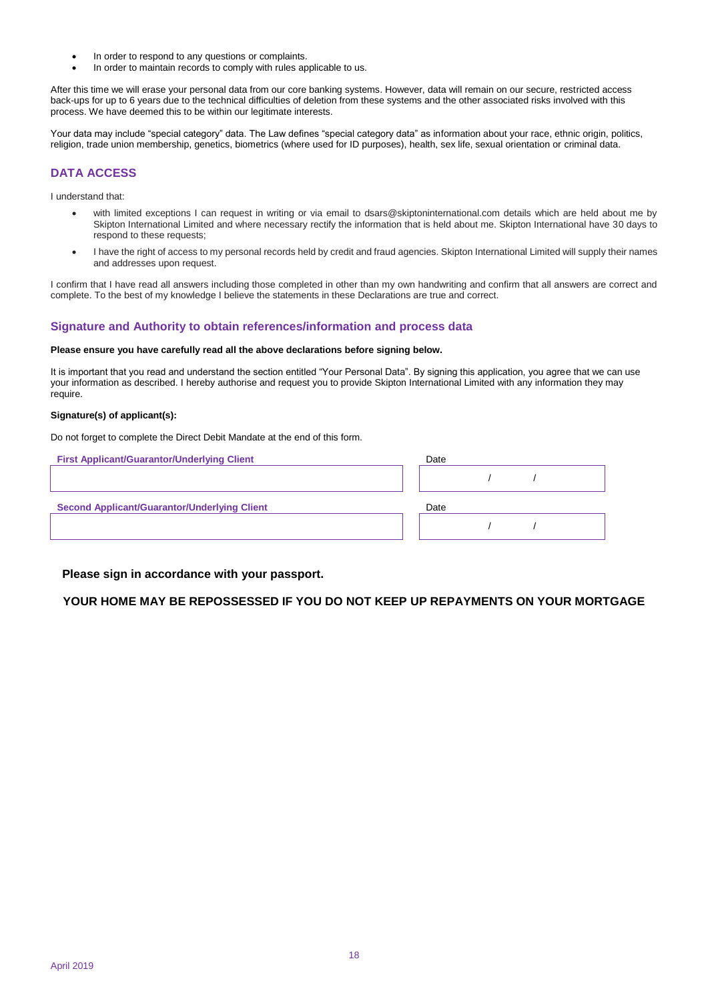- In order to respond to any questions or complaints.
- In order to maintain records to comply with rules applicable to us.

After this time we will erase your personal data from our core banking systems. However, data will remain on our secure, restricted access back-ups for up to 6 years due to the technical difficulties of deletion from these systems and the other associated risks involved with this process. We have deemed this to be within our legitimate interests.

Your data may include "special category" data. The Law defines "special category data" as information about your race, ethnic origin, politics, religion, trade union membership, genetics, biometrics (where used for ID purposes), health, sex life, sexual orientation or criminal data.

#### **DATA ACCESS**

I understand that:

- with limited exceptions I can request in writing or via email to dsars@skiptoninternational.com details which are held about me by Skipton International Limited and where necessary rectify the information that is held about me. Skipton International have 30 days to respond to these requests;
- I have the right of access to my personal records held by credit and fraud agencies. Skipton International Limited will supply their names and addresses upon request.

I confirm that I have read all answers including those completed in other than my own handwriting and confirm that all answers are correct and complete. To the best of my knowledge I believe the statements in these Declarations are true and correct.

#### **Signature and Authority to obtain references/information and process data**

#### **Please ensure you have carefully read all the above declarations before signing below.**

It is important that you read and understand the section entitled "Your Personal Data". By signing this application, you agree that we can use your information as described. I hereby authorise and request you to provide Skipton International Limited with any information they may require.

#### **Signature(s) of applicant(s):**

Do not forget to complete the Direct Debit Mandate at the end of this form.

| <b>First Applicant/Guarantor/Underlying Client</b>  | Date |  |  |
|-----------------------------------------------------|------|--|--|
|                                                     |      |  |  |
| <b>Second Applicant/Guarantor/Underlying Client</b> | Date |  |  |
|                                                     |      |  |  |
|                                                     |      |  |  |

#### **Please sign in accordance with your passport.**

**YOUR HOME MAY BE REPOSSESSED IF YOU DO NOT KEEP UP REPAYMENTS ON YOUR MORTGAGE**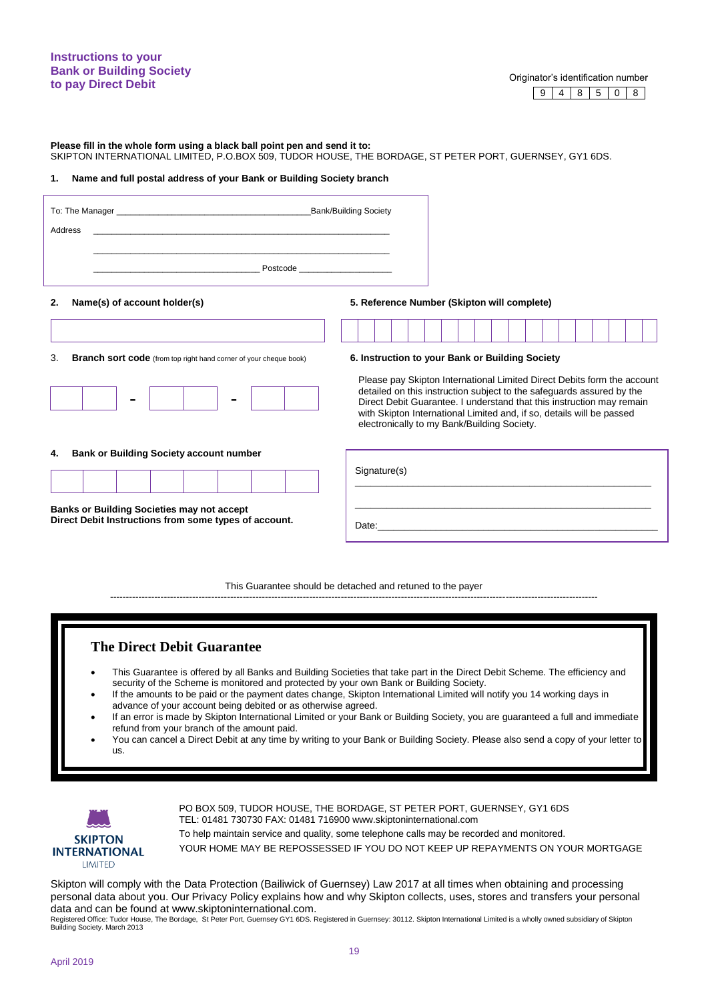#### **Instructions to your Bank or Building Society to pay Direct Debit to pay Direct Debit Contract Originator's identification number to pay Direct Debit**

9 4 8 5 0 8

**Please fill in the whole form using a black ball point pen and send it to:**

SKIPTON INTERNATIONAL LIMITED, P.O.BOX 509, TUDOR HOUSE, THE BORDAGE, ST PETER PORT, GUERNSEY, GY1 6DS.

#### **1. Name and full postal address of your Bank or Building Society branch**

|    | Address                                                                                                    |                                                                                                                                                                                                                                                                                                                                                   |
|----|------------------------------------------------------------------------------------------------------------|---------------------------------------------------------------------------------------------------------------------------------------------------------------------------------------------------------------------------------------------------------------------------------------------------------------------------------------------------|
|    |                                                                                                            | Postcode <b>Exercía de Senato de Senato de Senato de Senato de Senato de Senato de Senato de Senato de Senato de</b>                                                                                                                                                                                                                              |
| 2. | Name(s) of account holder(s)                                                                               | 5. Reference Number (Skipton will complete)                                                                                                                                                                                                                                                                                                       |
|    |                                                                                                            |                                                                                                                                                                                                                                                                                                                                                   |
| 3. | <b>Branch sort code</b> (from top right hand corner of your cheque book)                                   | 6. Instruction to your Bank or Building Society                                                                                                                                                                                                                                                                                                   |
|    | $\blacksquare$<br>$\blacksquare$                                                                           | Please pay Skipton International Limited Direct Debits form the account<br>detailed on this instruction subject to the safeguards assured by the<br>Direct Debit Guarantee. I understand that this instruction may remain<br>with Skipton International Limited and, if so, details will be passed<br>electronically to my Bank/Building Society. |
| 4. | <b>Bank or Building Society account number</b>                                                             |                                                                                                                                                                                                                                                                                                                                                   |
|    |                                                                                                            | Signature(s)                                                                                                                                                                                                                                                                                                                                      |
|    | <b>Banks or Building Societies may not accept</b><br>Direct Debit Instructions from some types of account. | Date: the contract of the contract of the contract of the contract of the contract of the contract of the contract of the contract of the contract of the contract of the contract of the contract of the contract of the cont                                                                                                                    |

This Guarantee should be detached and retuned to the payer

----------------------------------------------------------------------------------------------------------------------------------------------------------

#### **The Direct Debit Guarantee**

- This Guarantee is offered by all Banks and Building Societies that take part in the Direct Debit Scheme. The efficiency and security of the Scheme is monitored and protected by your own Bank or Building Society.
- If the amounts to be paid or the payment dates change, Skipton International Limited will notify you 14 working days in advance of your account being debited or as otherwise agreed.
- If an error is made by Skipton International Limited or your Bank or Building Society, you are guaranteed a full and immediate refund from your branch of the amount paid.
- You can cancel a Direct Debit at any time by writing to your Bank or Building Society. Please also send a copy of your letter to us.



PO BOX 509, TUDOR HOUSE, THE BORDAGE, ST PETER PORT, GUERNSEY, GY1 6DS TEL: 01481 730730 FAX: 01481 716900 www.skiptoninternational.com

To help maintain service and quality, some telephone calls may be recorded and monitored. YOUR HOME MAY BE REPOSSESSED IF YOU DO NOT KEEP UP REPAYMENTS ON YOUR MORTGAGE

Skipton will comply with the Data Protection (Bailiwick of Guernsey) Law 2017 at all times when obtaining and processing personal data about you. Our Privacy Policy explains how and why Skipton collects, uses, stores and transfers your personal data and can be found at www.skiptoninternational.com.

Registered Office: Tudor House, The Bordage, St Peter Port, Guernsey GY1 6DS. Registered in Guernsey: 30112. Skipton International Limited is a wholly owned subsidiary of Skipton Building Society. March 2013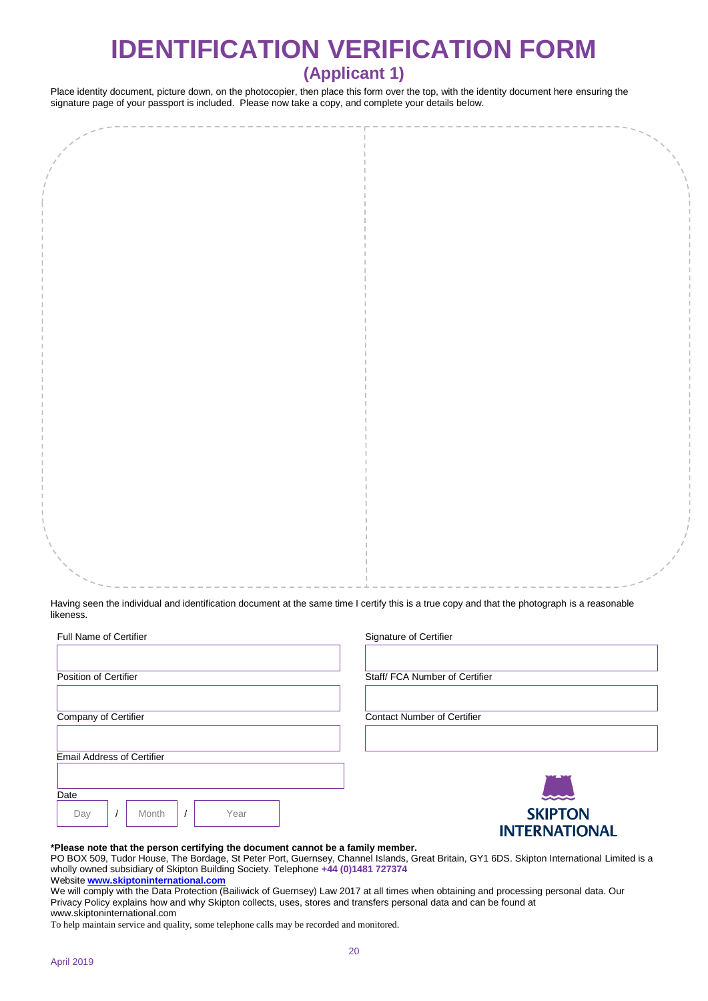# **IDENTIFICATION VERIFICATION FORM**

## **(Applicant 1)**

Place identity document, picture down, on the photocopier, then place this form over the top, with the identity document here ensuring the signature page of your passport is included. Please now take a copy, and complete your details below.

Having seen the individual and identification document at the same time I certify this is a true copy and that the photograph is a reasonable likeness.

| <b>Full Name of Certifier</b>     | Signature of Certifier             |
|-----------------------------------|------------------------------------|
|                                   |                                    |
| Position of Certifier             | Staff/FCA Number of Certifier      |
|                                   |                                    |
| Company of Certifier              | <b>Contact Number of Certifier</b> |
|                                   |                                    |
|                                   |                                    |
| <b>Email Address of Certifier</b> |                                    |
|                                   |                                    |
| Date                              | and                                |
| Month<br>Year<br>Day              | <b>SKIPTON</b>                     |
|                                   | <b>INTERNATIONAL</b>               |

#### **\*Please note that the person certifying the document cannot be a family member.**

PO BOX 509, Tudor House, The Bordage, St Peter Port, Guernsey, Channel Islands, Great Britain, GY1 6DS. Skipton International Limited is a wholly owned subsidiary of Skipton Building Society. Telephone **+44 (0)1481 727374** 

Website **[www.skiptoninternational.com](http://www.skiptoninternational.com/)**

We will comply with the Data Protection (Bailiwick of Guernsey) Law 2017 at all times when obtaining and processing personal data. Our Privacy Policy explains how and why Skipton collects, uses, stores and transfers personal data and can be found at www.skiptoninternational.com

To help maintain service and quality, some telephone calls may be recorded and monitored.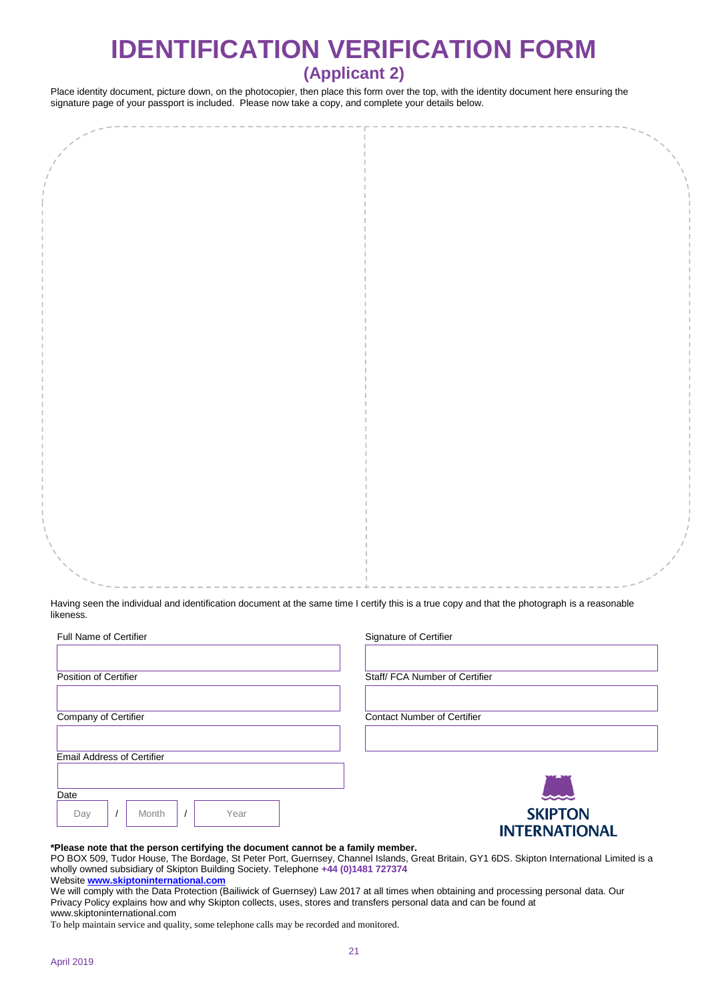# **IDENTIFICATION VERIFICATION FORM**

## **(Applicant 2)**

Place identity document, picture down, on the photocopier, then place this form over the top, with the identity document here ensuring the signature page of your passport is included. Please now take a copy, and complete your details below.

Having seen the individual and identification document at the same time I certify this is a true copy and that the photograph is a reasonable likeness.

| <b>Full Name of Certifier</b>     | Signature of Certifier             |
|-----------------------------------|------------------------------------|
|                                   |                                    |
| Position of Certifier             | Staff/FCA Number of Certifier      |
|                                   |                                    |
| Company of Certifier              | <b>Contact Number of Certifier</b> |
|                                   |                                    |
| <b>Email Address of Certifier</b> |                                    |
|                                   |                                    |
| Date                              | $\sim$                             |
| Month<br>Year<br>Day              | <b>SKIPTON</b>                     |
|                                   | <b>INTERNATIONAL</b>               |

#### **\*Please note that the person certifying the document cannot be a family member.**

PO BOX 509, Tudor House, The Bordage, St Peter Port, Guernsey, Channel Islands, Great Britain, GY1 6DS. Skipton International Limited is a wholly owned subsidiary of Skipton Building Society. Telephone **+44 (0)1481 727374** 

Website **[www.skiptoninternational.com](http://www.skiptoninternational.com/)**

We will comply with the Data Protection (Bailiwick of Guernsey) Law 2017 at all times when obtaining and processing personal data. Our Privacy Policy explains how and why Skipton collects, uses, stores and transfers personal data and can be found at www.skiptoninternational.com

To help maintain service and quality, some telephone calls may be recorded and monitored.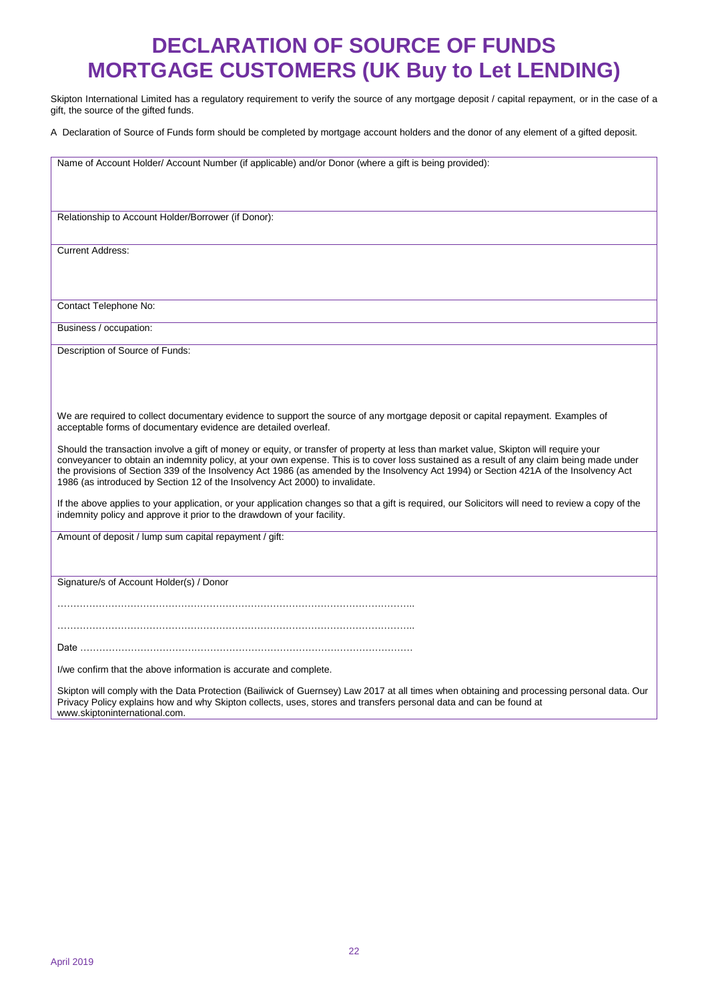## **DECLARATION OF SOURCE OF FUNDS MORTGAGE CUSTOMERS (UK Buy to Let LENDING)**

Skipton International Limited has a regulatory requirement to verify the source of any mortgage deposit / capital repayment, or in the case of a gift, the source of the gifted funds.

A Declaration of Source of Funds form should be completed by mortgage account holders and the donor of any element of a gifted deposit.

Name of Account Holder/ Account Number (if applicable) and/or Donor (where a gift is being provided): Relationship to Account Holder/Borrower (if Donor): Current Address: Contact Telephone No: Business / occupation: Description of Source of Funds: We are required to collect documentary evidence to support the source of any mortgage deposit or capital repayment. Examples of acceptable forms of documentary evidence are detailed overleaf. Should the transaction involve a gift of money or equity, or transfer of property at less than market value, Skipton will require your conveyancer to obtain an indemnity policy, at your own expense. This is to cover loss sustained as a result of any claim being made under the provisions of Section 339 of the Insolvency Act 1986 (as amended by the Insolvency Act 1994) or Section 421A of the Insolvency Act 1986 (as introduced by Section 12 of the Insolvency Act 2000) to invalidate. If the above applies to your application, or your application changes so that a gift is required, our Solicitors will need to review a copy of the indemnity policy and approve it prior to the drawdown of your facility. Amount of deposit / lump sum capital repayment / gift: Signature/s of Account Holder(s) / Donor ………………………………………………………………………………………………….. ………………………………………………………………………………………………….. Date …………………………………………………………………………………………… I/we confirm that the above information is accurate and complete. Skipton will comply with the Data Protection (Bailiwick of Guernsey) Law 2017 at all times when obtaining and processing personal data. Our Privacy Policy explains how and why Skipton collects, uses, stores and transfers personal data and can be found at

www.skiptoninternational.com.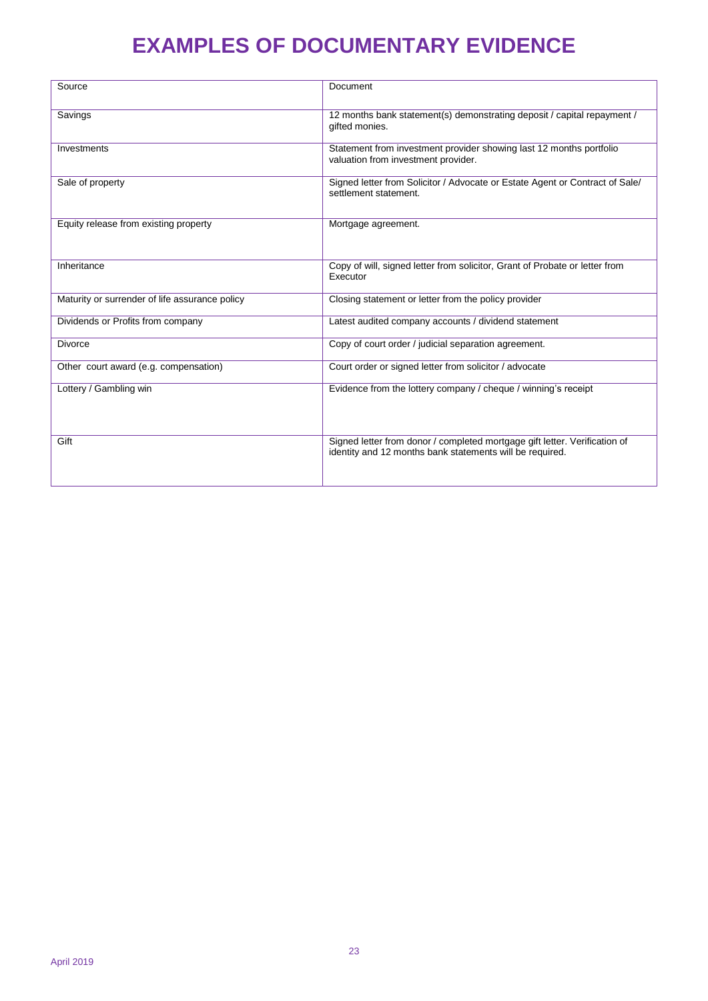## **EXAMPLES OF DOCUMENTARY EVIDENCE**

| Source                                         | Document                                                                                                                               |
|------------------------------------------------|----------------------------------------------------------------------------------------------------------------------------------------|
| Savings                                        | 12 months bank statement(s) demonstrating deposit / capital repayment /<br>gifted monies.                                              |
| Investments                                    | Statement from investment provider showing last 12 months portfolio<br>valuation from investment provider.                             |
| Sale of property                               | Signed letter from Solicitor / Advocate or Estate Agent or Contract of Sale/<br>settlement statement.                                  |
| Equity release from existing property          | Mortgage agreement.                                                                                                                    |
| Inheritance                                    | Copy of will, signed letter from solicitor, Grant of Probate or letter from<br>Executor                                                |
| Maturity or surrender of life assurance policy | Closing statement or letter from the policy provider                                                                                   |
| Dividends or Profits from company              | Latest audited company accounts / dividend statement                                                                                   |
| <b>Divorce</b>                                 | Copy of court order / judicial separation agreement.                                                                                   |
| Other court award (e.g. compensation)          | Court order or signed letter from solicitor / advocate                                                                                 |
| Lottery / Gambling win                         | Evidence from the lottery company / cheque / winning's receipt                                                                         |
| Gift                                           | Signed letter from donor / completed mortgage gift letter. Verification of<br>identity and 12 months bank statements will be required. |